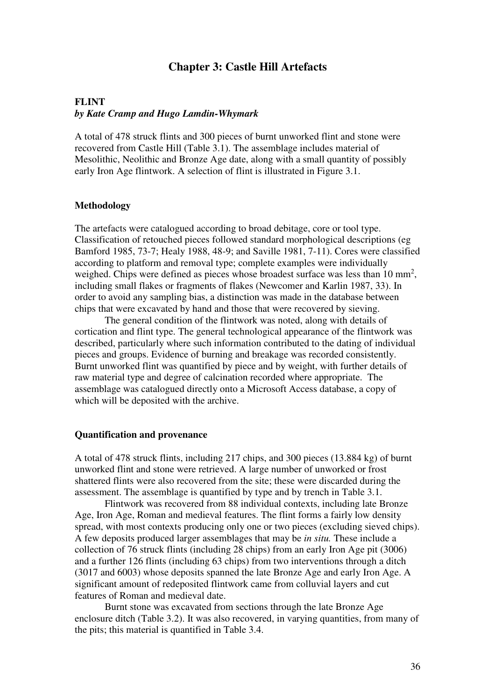# **Chapter 3: Castle Hill Artefacts**

# **FLINT**  *by Kate Cramp and Hugo Lamdin-Whymark*

A total of 478 struck flints and 300 pieces of burnt unworked flint and stone were recovered from Castle Hill (Table 3.1). The assemblage includes material of Mesolithic, Neolithic and Bronze Age date, along with a small quantity of possibly early Iron Age flintwork. A selection of flint is illustrated in Figure 3.1.

# **Methodology**

The artefacts were catalogued according to broad debitage, core or tool type. Classification of retouched pieces followed standard morphological descriptions (eg Bamford 1985, 73-7; Healy 1988, 48-9; and Saville 1981, 7-11). Cores were classified according to platform and removal type; complete examples were individually weighed. Chips were defined as pieces whose broadest surface was less than  $10 \text{ mm}^2$ , including small flakes or fragments of flakes (Newcomer and Karlin 1987, 33). In order to avoid any sampling bias, a distinction was made in the database between chips that were excavated by hand and those that were recovered by sieving.

 The general condition of the flintwork was noted, along with details of cortication and flint type. The general technological appearance of the flintwork was described, particularly where such information contributed to the dating of individual pieces and groups. Evidence of burning and breakage was recorded consistently. Burnt unworked flint was quantified by piece and by weight, with further details of raw material type and degree of calcination recorded where appropriate. The assemblage was catalogued directly onto a Microsoft Access database, a copy of which will be deposited with the archive.

#### **Quantification and provenance**

A total of 478 struck flints, including 217 chips, and 300 pieces (13.884 kg) of burnt unworked flint and stone were retrieved. A large number of unworked or frost shattered flints were also recovered from the site; these were discarded during the assessment. The assemblage is quantified by type and by trench in Table 3.1.

 Flintwork was recovered from 88 individual contexts, including late Bronze Age, Iron Age, Roman and medieval features. The flint forms a fairly low density spread, with most contexts producing only one or two pieces (excluding sieved chips). A few deposits produced larger assemblages that may be *in situ.* These include a collection of 76 struck flints (including 28 chips) from an early Iron Age pit (3006) and a further 126 flints (including 63 chips) from two interventions through a ditch (3017 and 6003) whose deposits spanned the late Bronze Age and early Iron Age. A significant amount of redeposited flintwork came from colluvial layers and cut features of Roman and medieval date.

 Burnt stone was excavated from sections through the late Bronze Age enclosure ditch (Table 3.2). It was also recovered, in varying quantities, from many of the pits; this material is quantified in Table 3.4.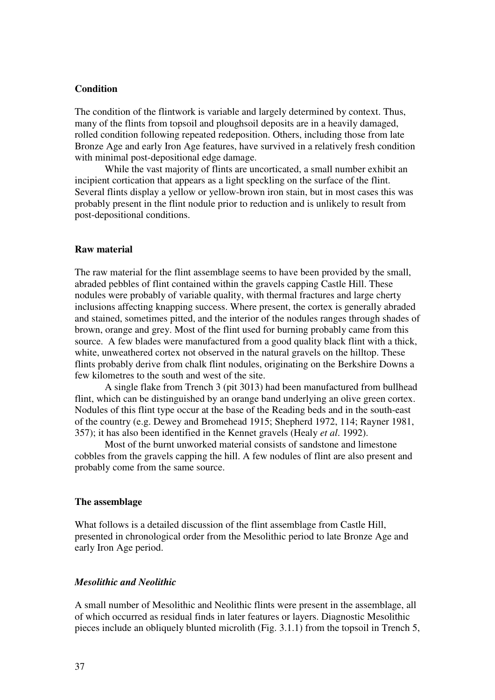# **Condition**

The condition of the flintwork is variable and largely determined by context. Thus, many of the flints from topsoil and ploughsoil deposits are in a heavily damaged, rolled condition following repeated redeposition. Others, including those from late Bronze Age and early Iron Age features, have survived in a relatively fresh condition with minimal post-depositional edge damage.

 While the vast majority of flints are uncorticated, a small number exhibit an incipient cortication that appears as a light speckling on the surface of the flint. Several flints display a yellow or yellow-brown iron stain, but in most cases this was probably present in the flint nodule prior to reduction and is unlikely to result from post-depositional conditions.

# **Raw material**

The raw material for the flint assemblage seems to have been provided by the small, abraded pebbles of flint contained within the gravels capping Castle Hill. These nodules were probably of variable quality, with thermal fractures and large cherty inclusions affecting knapping success. Where present, the cortex is generally abraded and stained, sometimes pitted, and the interior of the nodules ranges through shades of brown, orange and grey. Most of the flint used for burning probably came from this source. A few blades were manufactured from a good quality black flint with a thick, white, unweathered cortex not observed in the natural gravels on the hilltop. These flints probably derive from chalk flint nodules, originating on the Berkshire Downs a few kilometres to the south and west of the site.

 A single flake from Trench 3 (pit 3013) had been manufactured from bullhead flint, which can be distinguished by an orange band underlying an olive green cortex. Nodules of this flint type occur at the base of the Reading beds and in the south-east of the country (e.g. Dewey and Bromehead 1915; Shepherd 1972, 114; Rayner 1981, 357); it has also been identified in the Kennet gravels (Healy *et al*. 1992).

Most of the burnt unworked material consists of sandstone and limestone cobbles from the gravels capping the hill. A few nodules of flint are also present and probably come from the same source.

#### **The assemblage**

What follows is a detailed discussion of the flint assemblage from Castle Hill, presented in chronological order from the Mesolithic period to late Bronze Age and early Iron Age period.

# *Mesolithic and Neolithic*

A small number of Mesolithic and Neolithic flints were present in the assemblage, all of which occurred as residual finds in later features or layers. Diagnostic Mesolithic pieces include an obliquely blunted microlith (Fig. 3.1.1) from the topsoil in Trench 5,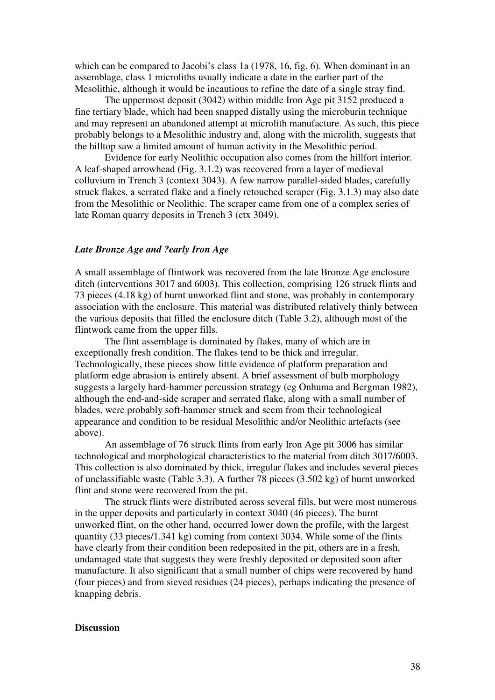which can be compared to Jacobi's class 1a (1978, 16, fig. 6). When dominant in an assemblage, class 1 microliths usually indicate a date in the earlier part of the Mesolithic, although it would be incautious to refine the date of a single stray find.

 The uppermost deposit (3042) within middle Iron Age pit 3152 produced a fine tertiary blade, which had been snapped distally using the microburin technique and may represent an abandoned attempt at microlith manufacture. As such, this piece probably belongs to a Mesolithic industry and, along with the microlith, suggests that the hilltop saw a limited amount of human activity in the Mesolithic period.

 Evidence for early Neolithic occupation also comes from the hillfort interior. A leaf-shaped arrowhead (Fig. 3.1.2) was recovered from a layer of medieval colluvium in Trench 3 (context 3043). A few narrow parallel-sided blades, carefully struck flakes, a serrated flake and a finely retouched scraper (Fig. 3.1.3) may also date from the Mesolithic or Neolithic. The scraper came from one of a complex series of late Roman quarry deposits in Trench 3 (ctx 3049).

#### *Late Bronze Age and ?early Iron Age*

A small assemblage of flintwork was recovered from the late Bronze Age enclosure ditch (interventions 3017 and 6003). This collection, comprising 126 struck flints and 73 pieces (4.18 kg) of burnt unworked flint and stone, was probably in contemporary association with the enclosure. This material was distributed relatively thinly between the various deposits that filled the enclosure ditch (Table 3.2), although most of the flintwork came from the upper fills.

 The flint assemblage is dominated by flakes, many of which are in exceptionally fresh condition. The flakes tend to be thick and irregular. Technologically, these pieces show little evidence of platform preparation and platform edge abrasion is entirely absent. A brief assessment of bulb morphology suggests a largely hard-hammer percussion strategy (eg Onhuma and Bergman 1982), although the end-and-side scraper and serrated flake, along with a small number of blades, were probably soft-hammer struck and seem from their technological appearance and condition to be residual Mesolithic and/or Neolithic artefacts (see above).

 An assemblage of 76 struck flints from early Iron Age pit 3006 has similar technological and morphological characteristics to the material from ditch 3017/6003. This collection is also dominated by thick, irregular flakes and includes several pieces of unclassifiable waste (Table 3.3). A further 78 pieces (3.502 kg) of burnt unworked flint and stone were recovered from the pit.

 The struck flints were distributed across several fills, but were most numerous in the upper deposits and particularly in context 3040 (46 pieces). The burnt unworked flint, on the other hand, occurred lower down the profile, with the largest quantity (33 pieces/1.341 kg) coming from context 3034. While some of the flints have clearly from their condition been redeposited in the pit, others are in a fresh, undamaged state that suggests they were freshly deposited or deposited soon after manufacture. It also significant that a small number of chips were recovered by hand (four pieces) and from sieved residues (24 pieces), perhaps indicating the presence of knapping debris.

#### **Discussion**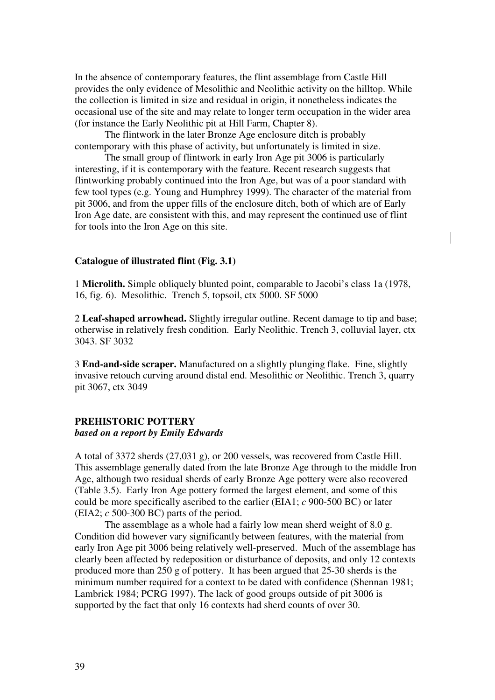In the absence of contemporary features, the flint assemblage from Castle Hill provides the only evidence of Mesolithic and Neolithic activity on the hilltop. While the collection is limited in size and residual in origin, it nonetheless indicates the occasional use of the site and may relate to longer term occupation in the wider area (for instance the Early Neolithic pit at Hill Farm, Chapter 8).

 The flintwork in the later Bronze Age enclosure ditch is probably contemporary with this phase of activity, but unfortunately is limited in size.

 The small group of flintwork in early Iron Age pit 3006 is particularly interesting, if it is contemporary with the feature. Recent research suggests that flintworking probably continued into the Iron Age, but was of a poor standard with few tool types (e.g. Young and Humphrey 1999). The character of the material from pit 3006, and from the upper fills of the enclosure ditch, both of which are of Early Iron Age date, are consistent with this, and may represent the continued use of flint for tools into the Iron Age on this site.

#### **Catalogue of illustrated flint (Fig. 3.1)**

1 **Microlith.** Simple obliquely blunted point, comparable to Jacobi's class 1a (1978, 16, fig. 6). Mesolithic. Trench 5, topsoil, ctx 5000. SF 5000

2 **Leaf-shaped arrowhead.** Slightly irregular outline. Recent damage to tip and base; otherwise in relatively fresh condition. Early Neolithic. Trench 3, colluvial layer, ctx 3043. SF 3032

3 **End-and-side scraper.** Manufactured on a slightly plunging flake. Fine, slightly invasive retouch curving around distal end. Mesolithic or Neolithic. Trench 3, quarry pit 3067, ctx 3049

# **PREHISTORIC POTTERY**

# *based on a report by Emily Edwards*

A total of 3372 sherds (27,031 g), or 200 vessels, was recovered from Castle Hill. This assemblage generally dated from the late Bronze Age through to the middle Iron Age, although two residual sherds of early Bronze Age pottery were also recovered (Table 3.5). Early Iron Age pottery formed the largest element, and some of this could be more specifically ascribed to the earlier (EIA1; *c* 900-500 BC) or later (EIA2; *c* 500-300 BC) parts of the period.

The assemblage as a whole had a fairly low mean sherd weight of 8.0 g. Condition did however vary significantly between features, with the material from early Iron Age pit 3006 being relatively well-preserved. Much of the assemblage has clearly been affected by redeposition or disturbance of deposits, and only 12 contexts produced more than 250 g of pottery. It has been argued that 25-30 sherds is the minimum number required for a context to be dated with confidence (Shennan 1981; Lambrick 1984; PCRG 1997). The lack of good groups outside of pit 3006 is supported by the fact that only 16 contexts had sherd counts of over 30.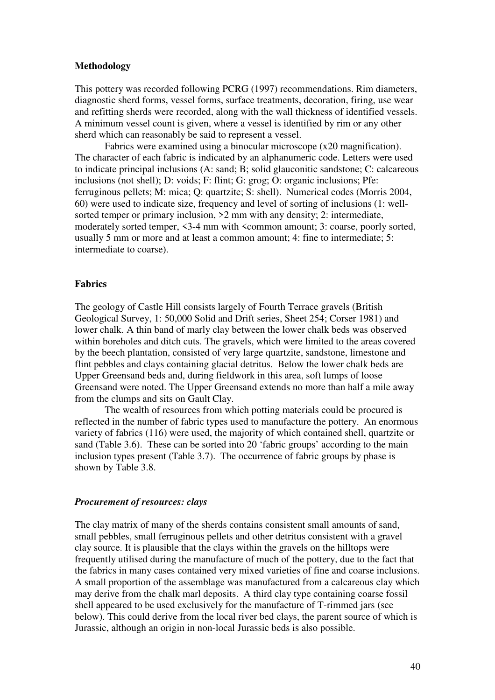# **Methodology**

This pottery was recorded following PCRG (1997) recommendations. Rim diameters, diagnostic sherd forms, vessel forms, surface treatments, decoration, firing, use wear and refitting sherds were recorded, along with the wall thickness of identified vessels. A minimum vessel count is given, where a vessel is identified by rim or any other sherd which can reasonably be said to represent a vessel.

 Fabrics were examined using a binocular microscope (x20 magnification). The character of each fabric is indicated by an alphanumeric code. Letters were used to indicate principal inclusions (A: sand; B; solid glauconitic sandstone; C: calcareous inclusions (not shell); D: voids; F: flint; G: grog; O: organic inclusions; Pfe: ferruginous pellets; M: mica; Q: quartzite; S: shell). Numerical codes (Morris 2004, 60) were used to indicate size, frequency and level of sorting of inclusions (1: wellsorted temper or primary inclusion,  $>2$  mm with any density; 2: intermediate, moderately sorted temper,  $\leq$ 3-4 mm with  $\leq$ common amount; 3: coarse, poorly sorted, usually 5 mm or more and at least a common amount; 4: fine to intermediate; 5: intermediate to coarse).

# **Fabrics**

The geology of Castle Hill consists largely of Fourth Terrace gravels (British Geological Survey, 1: 50,000 Solid and Drift series, Sheet 254; Corser 1981) and lower chalk. A thin band of marly clay between the lower chalk beds was observed within boreholes and ditch cuts. The gravels, which were limited to the areas covered by the beech plantation, consisted of very large quartzite, sandstone, limestone and flint pebbles and clays containing glacial detritus. Below the lower chalk beds are Upper Greensand beds and, during fieldwork in this area, soft lumps of loose Greensand were noted. The Upper Greensand extends no more than half a mile away from the clumps and sits on Gault Clay.

The wealth of resources from which potting materials could be procured is reflected in the number of fabric types used to manufacture the pottery. An enormous variety of fabrics (116) were used, the majority of which contained shell, quartzite or sand (Table 3.6). These can be sorted into 20 'fabric groups' according to the main inclusion types present (Table 3.7). The occurrence of fabric groups by phase is shown by Table 3.8.

#### *Procurement of resources: clays*

The clay matrix of many of the sherds contains consistent small amounts of sand, small pebbles, small ferruginous pellets and other detritus consistent with a gravel clay source. It is plausible that the clays within the gravels on the hilltops were frequently utilised during the manufacture of much of the pottery, due to the fact that the fabrics in many cases contained very mixed varieties of fine and coarse inclusions. A small proportion of the assemblage was manufactured from a calcareous clay which may derive from the chalk marl deposits. A third clay type containing coarse fossil shell appeared to be used exclusively for the manufacture of T-rimmed jars (see below). This could derive from the local river bed clays, the parent source of which is Jurassic, although an origin in non-local Jurassic beds is also possible.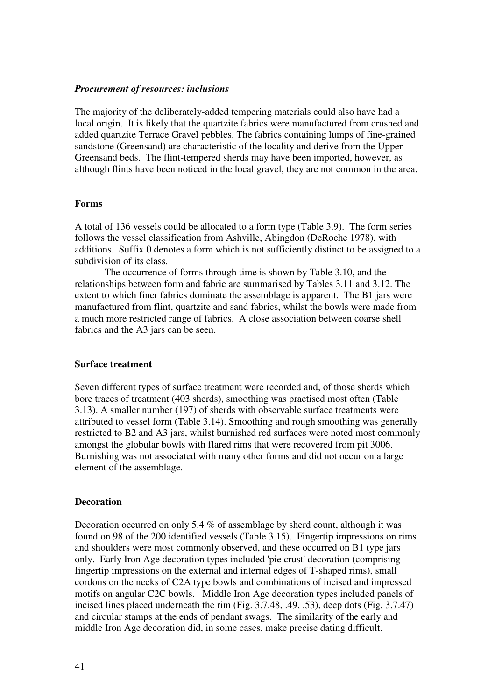# *Procurement of resources: inclusions*

The majority of the deliberately-added tempering materials could also have had a local origin. It is likely that the quartzite fabrics were manufactured from crushed and added quartzite Terrace Gravel pebbles. The fabrics containing lumps of fine-grained sandstone (Greensand) are characteristic of the locality and derive from the Upper Greensand beds. The flint-tempered sherds may have been imported, however, as although flints have been noticed in the local gravel, they are not common in the area.

# **Forms**

A total of 136 vessels could be allocated to a form type (Table 3.9). The form series follows the vessel classification from Ashville, Abingdon (DeRoche 1978), with additions. Suffix 0 denotes a form which is not sufficiently distinct to be assigned to a subdivision of its class.

 The occurrence of forms through time is shown by Table 3.10, and the relationships between form and fabric are summarised by Tables 3.11 and 3.12. The extent to which finer fabrics dominate the assemblage is apparent. The B1 jars were manufactured from flint, quartzite and sand fabrics, whilst the bowls were made from a much more restricted range of fabrics. A close association between coarse shell fabrics and the A3 jars can be seen.

#### **Surface treatment**

Seven different types of surface treatment were recorded and, of those sherds which bore traces of treatment (403 sherds), smoothing was practised most often (Table 3.13). A smaller number (197) of sherds with observable surface treatments were attributed to vessel form (Table 3.14). Smoothing and rough smoothing was generally restricted to B2 and A3 jars, whilst burnished red surfaces were noted most commonly amongst the globular bowls with flared rims that were recovered from pit 3006. Burnishing was not associated with many other forms and did not occur on a large element of the assemblage.

#### **Decoration**

Decoration occurred on only 5.4 % of assemblage by sherd count, although it was found on 98 of the 200 identified vessels (Table 3.15). Fingertip impressions on rims and shoulders were most commonly observed, and these occurred on B1 type jars only. Early Iron Age decoration types included 'pie crust' decoration (comprising fingertip impressions on the external and internal edges of T-shaped rims), small cordons on the necks of C2A type bowls and combinations of incised and impressed motifs on angular C2C bowls. Middle Iron Age decoration types included panels of incised lines placed underneath the rim (Fig. 3.7.48, .49, .53), deep dots (Fig. 3.7.47) and circular stamps at the ends of pendant swags. The similarity of the early and middle Iron Age decoration did, in some cases, make precise dating difficult.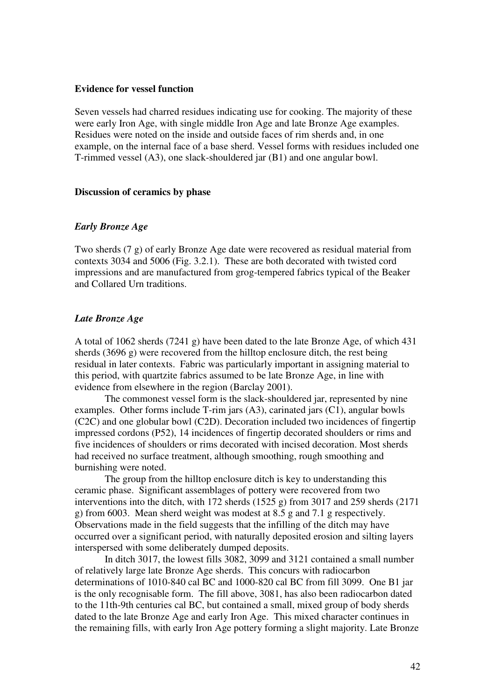#### **Evidence for vessel function**

Seven vessels had charred residues indicating use for cooking. The majority of these were early Iron Age, with single middle Iron Age and late Bronze Age examples. Residues were noted on the inside and outside faces of rim sherds and, in one example, on the internal face of a base sherd. Vessel forms with residues included one T-rimmed vessel (A3), one slack-shouldered jar (B1) and one angular bowl.

#### **Discussion of ceramics by phase**

### *Early Bronze Age*

Two sherds (7 g) of early Bronze Age date were recovered as residual material from contexts 3034 and 5006 (Fig. 3.2.1). These are both decorated with twisted cord impressions and are manufactured from grog-tempered fabrics typical of the Beaker and Collared Urn traditions.

#### *Late Bronze Age*

A total of 1062 sherds (7241 g) have been dated to the late Bronze Age, of which 431 sherds (3696 g) were recovered from the hilltop enclosure ditch, the rest being residual in later contexts. Fabric was particularly important in assigning material to this period, with quartzite fabrics assumed to be late Bronze Age, in line with evidence from elsewhere in the region (Barclay 2001).

The commonest vessel form is the slack-shouldered jar, represented by nine examples. Other forms include T-rim jars (A3), carinated jars (C1), angular bowls (C2C) and one globular bowl (C2D). Decoration included two incidences of fingertip impressed cordons (P52), 14 incidences of fingertip decorated shoulders or rims and five incidences of shoulders or rims decorated with incised decoration. Most sherds had received no surface treatment, although smoothing, rough smoothing and burnishing were noted.

 The group from the hilltop enclosure ditch is key to understanding this ceramic phase. Significant assemblages of pottery were recovered from two interventions into the ditch, with 172 sherds (1525 g) from 3017 and 259 sherds (2171 g) from 6003. Mean sherd weight was modest at 8.5 g and 7.1 g respectively. Observations made in the field suggests that the infilling of the ditch may have occurred over a significant period, with naturally deposited erosion and silting layers interspersed with some deliberately dumped deposits.

 In ditch 3017, the lowest fills 3082, 3099 and 3121 contained a small number of relatively large late Bronze Age sherds. This concurs with radiocarbon determinations of 1010-840 cal BC and 1000-820 cal BC from fill 3099. One B1 jar is the only recognisable form. The fill above, 3081, has also been radiocarbon dated to the 11th-9th centuries cal BC, but contained a small, mixed group of body sherds dated to the late Bronze Age and early Iron Age. This mixed character continues in the remaining fills, with early Iron Age pottery forming a slight majority. Late Bronze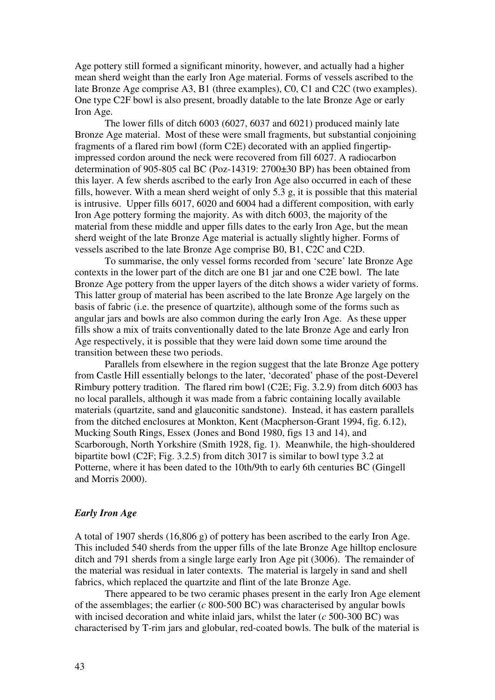Age pottery still formed a significant minority, however, and actually had a higher mean sherd weight than the early Iron Age material. Forms of vessels ascribed to the late Bronze Age comprise A3, B1 (three examples), C0, C1 and C2C (two examples). One type C2F bowl is also present, broadly datable to the late Bronze Age or early Iron Age.

The lower fills of ditch 6003 (6027, 6037 and 6021) produced mainly late Bronze Age material. Most of these were small fragments, but substantial conjoining fragments of a flared rim bowl (form C2E) decorated with an applied fingertipimpressed cordon around the neck were recovered from fill 6027. A radiocarbon determination of 905-805 cal BC (Poz-14319: 2700±30 BP) has been obtained from this layer. A few sherds ascribed to the early Iron Age also occurred in each of these fills, however. With a mean sherd weight of only 5.3 g, it is possible that this material is intrusive. Upper fills 6017, 6020 and 6004 had a different composition, with early Iron Age pottery forming the majority. As with ditch 6003, the majority of the material from these middle and upper fills dates to the early Iron Age, but the mean sherd weight of the late Bronze Age material is actually slightly higher. Forms of vessels ascribed to the late Bronze Age comprise B0, B1, C2C and C2D.

To summarise, the only vessel forms recorded from 'secure' late Bronze Age contexts in the lower part of the ditch are one B1 jar and one C2E bowl. The late Bronze Age pottery from the upper layers of the ditch shows a wider variety of forms. This latter group of material has been ascribed to the late Bronze Age largely on the basis of fabric (i.e. the presence of quartzite), although some of the forms such as angular jars and bowls are also common during the early Iron Age. As these upper fills show a mix of traits conventionally dated to the late Bronze Age and early Iron Age respectively, it is possible that they were laid down some time around the transition between these two periods.

Parallels from elsewhere in the region suggest that the late Bronze Age pottery from Castle Hill essentially belongs to the later, 'decorated' phase of the post-Deverel Rimbury pottery tradition. The flared rim bowl (C2E; Fig. 3.2.9) from ditch 6003 has no local parallels, although it was made from a fabric containing locally available materials (quartzite, sand and glauconitic sandstone). Instead, it has eastern parallels from the ditched enclosures at Monkton, Kent (Macpherson-Grant 1994, fig. 6.12), Mucking South Rings, Essex (Jones and Bond 1980, figs 13 and 14), and Scarborough, North Yorkshire (Smith 1928, fig. 1). Meanwhile, the high-shouldered bipartite bowl (C2F; Fig. 3.2.5) from ditch 3017 is similar to bowl type 3.2 at Potterne, where it has been dated to the 10th/9th to early 6th centuries BC (Gingell and Morris 2000).

# *Early Iron Age*

A total of 1907 sherds (16,806 g) of pottery has been ascribed to the early Iron Age. This included 540 sherds from the upper fills of the late Bronze Age hilltop enclosure ditch and 791 sherds from a single large early Iron Age pit (3006). The remainder of the material was residual in later contexts. The material is largely in sand and shell fabrics, which replaced the quartzite and flint of the late Bronze Age.

There appeared to be two ceramic phases present in the early Iron Age element of the assemblages; the earlier (*c* 800-500 BC) was characterised by angular bowls with incised decoration and white inlaid jars, whilst the later (*c* 500-300 BC) was characterised by T-rim jars and globular, red-coated bowls. The bulk of the material is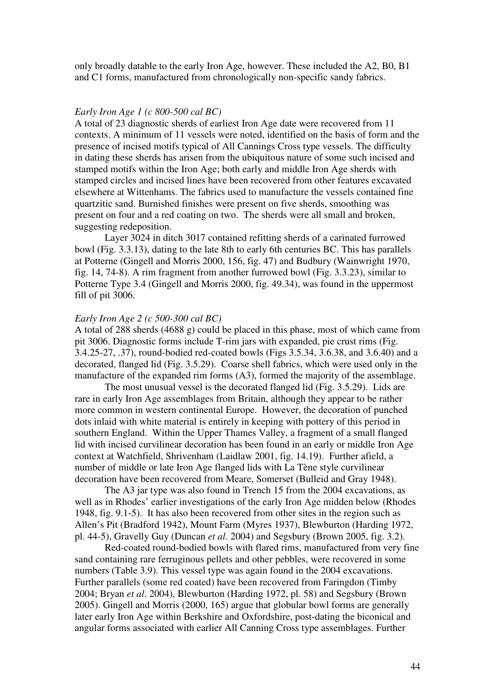only broadly datable to the early Iron Age, however. These included the A2, B0, B1 and C1 forms, manufactured from chronologically non-specific sandy fabrics.

#### *Early Iron Age 1 (c 800-500 cal BC)*

A total of 23 diagnostic sherds of earliest Iron Age date were recovered from 11 contexts. A minimum of 11 vessels were noted, identified on the basis of form and the presence of incised motifs typical of All Cannings Cross type vessels. The difficulty in dating these sherds has arisen from the ubiquitous nature of some such incised and stamped motifs within the Iron Age; both early and middle Iron Age sherds with stamped circles and incised lines have been recovered from other features excavated elsewhere at Wittenhams. The fabrics used to manufacture the vessels contained fine quartzitic sand. Burnished finishes were present on five sherds, smoothing was present on four and a red coating on two. The sherds were all small and broken, suggesting redeposition.

 Layer 3024 in ditch 3017 contained refitting sherds of a carinated furrowed bowl (Fig. 3.3.13), dating to the late 8th to early 6th centuries BC. This has parallels at Potterne (Gingell and Morris 2000, 156, fig. 47) and Budbury (Wainwright 1970, fig. 14, 74-8). A rim fragment from another furrowed bowl (Fig. 3.3.23), similar to Potterne Type 3.4 (Gingell and Morris 2000, fig. 49.34), was found in the uppermost fill of pit 3006.

# *Early Iron Age 2 (c 500-300 cal BC)*

A total of 288 sherds (4688 g) could be placed in this phase, most of which came from pit 3006. Diagnostic forms include T-rim jars with expanded, pie crust rims (Fig. 3.4.25-27, .37), round-bodied red-coated bowls (Figs 3.5.34, 3.6.38, and 3.6.40) and a decorated, flanged lid (Fig. 3.5.29). Coarse shell fabrics, which were used only in the manufacture of the expanded rim forms (A3), formed the majority of the assemblage.

The most unusual vessel is the decorated flanged lid (Fig. 3.5.29). Lids are rare in early Iron Age assemblages from Britain, although they appear to be rather more common in western continental Europe. However, the decoration of punched dots inlaid with white material is entirely in keeping with pottery of this period in southern England. Within the Upper Thames Valley, a fragment of a small flanged lid with incised curvilinear decoration has been found in an early or middle Iron Age context at Watchfield, Shrivenham (Laidlaw 2001, fig. 14.19). Further afield, a number of middle or late Iron Age flanged lids with La Tène style curvilinear decoration have been recovered from Meare, Somerset (Bulleid and Gray 1948).

The A3 jar type was also found in Trench 15 from the 2004 excavations, as well as in Rhodes' earlier investigations of the early Iron Age midden below (Rhodes 1948, fig. 9.1-5). It has also been recovered from other sites in the region such as Allen's Pit (Bradford 1942), Mount Farm (Myres 1937), Blewburton (Harding 1972, pl. 44-5), Gravelly Guy (Duncan *et al*. 2004) and Segsbury (Brown 2005, fig. 3.2).

Red-coated round-bodied bowls with flared rims, manufactured from very fine sand containing rare ferruginous pellets and other pebbles, were recovered in some numbers (Table 3.9). This vessel type was again found in the 2004 excavations. Further parallels (some red coated) have been recovered from Faringdon (Timby 2004; Bryan *et al*. 2004), Blewburton (Harding 1972, pl. 58) and Segsbury (Brown 2005). Gingell and Morris (2000, 165) argue that globular bowl forms are generally later early Iron Age within Berkshire and Oxfordshire, post-dating the biconical and angular forms associated with earlier All Canning Cross type assemblages. Further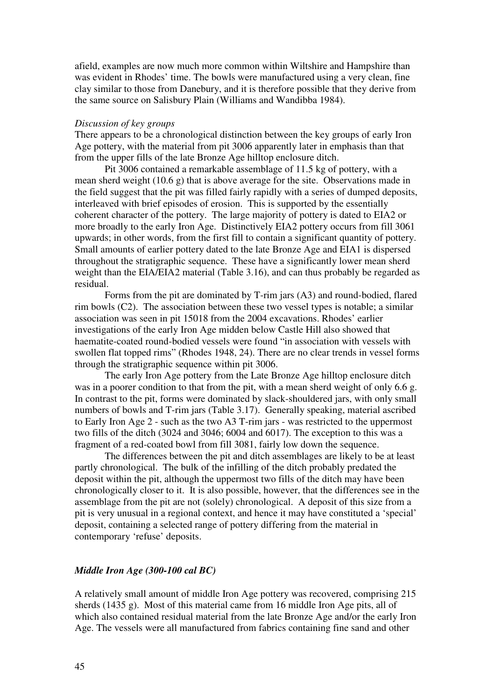afield, examples are now much more common within Wiltshire and Hampshire than was evident in Rhodes' time. The bowls were manufactured using a very clean, fine clay similar to those from Danebury, and it is therefore possible that they derive from the same source on Salisbury Plain (Williams and Wandibba 1984).

#### *Discussion of key groups*

There appears to be a chronological distinction between the key groups of early Iron Age pottery, with the material from pit 3006 apparently later in emphasis than that from the upper fills of the late Bronze Age hilltop enclosure ditch.

Pit 3006 contained a remarkable assemblage of 11.5 kg of pottery, with a mean sherd weight (10.6 g) that is above average for the site. Observations made in the field suggest that the pit was filled fairly rapidly with a series of dumped deposits, interleaved with brief episodes of erosion. This is supported by the essentially coherent character of the pottery. The large majority of pottery is dated to EIA2 or more broadly to the early Iron Age. Distinctively EIA2 pottery occurs from fill 3061 upwards; in other words, from the first fill to contain a significant quantity of pottery. Small amounts of earlier pottery dated to the late Bronze Age and EIA1 is dispersed throughout the stratigraphic sequence. These have a significantly lower mean sherd weight than the EIA/EIA2 material (Table 3.16), and can thus probably be regarded as residual.

Forms from the pit are dominated by T-rim jars (A3) and round-bodied, flared rim bowls (C2). The association between these two vessel types is notable; a similar association was seen in pit 15018 from the 2004 excavations. Rhodes' earlier investigations of the early Iron Age midden below Castle Hill also showed that haematite-coated round-bodied vessels were found "in association with vessels with swollen flat topped rims" (Rhodes 1948, 24). There are no clear trends in vessel forms through the stratigraphic sequence within pit 3006.

 The early Iron Age pottery from the Late Bronze Age hilltop enclosure ditch was in a poorer condition to that from the pit, with a mean sherd weight of only 6.6 g. In contrast to the pit, forms were dominated by slack-shouldered jars, with only small numbers of bowls and T-rim jars (Table 3.17). Generally speaking, material ascribed to Early Iron Age 2 - such as the two A3 T-rim jars - was restricted to the uppermost two fills of the ditch (3024 and 3046; 6004 and 6017). The exception to this was a fragment of a red-coated bowl from fill 3081, fairly low down the sequence.

The differences between the pit and ditch assemblages are likely to be at least partly chronological. The bulk of the infilling of the ditch probably predated the deposit within the pit, although the uppermost two fills of the ditch may have been chronologically closer to it. It is also possible, however, that the differences see in the assemblage from the pit are not (solely) chronological. A deposit of this size from a pit is very unusual in a regional context, and hence it may have constituted a 'special' deposit, containing a selected range of pottery differing from the material in contemporary 'refuse' deposits.

# *Middle Iron Age (300-100 cal BC)*

A relatively small amount of middle Iron Age pottery was recovered, comprising 215 sherds (1435 g). Most of this material came from 16 middle Iron Age pits, all of which also contained residual material from the late Bronze Age and/or the early Iron Age. The vessels were all manufactured from fabrics containing fine sand and other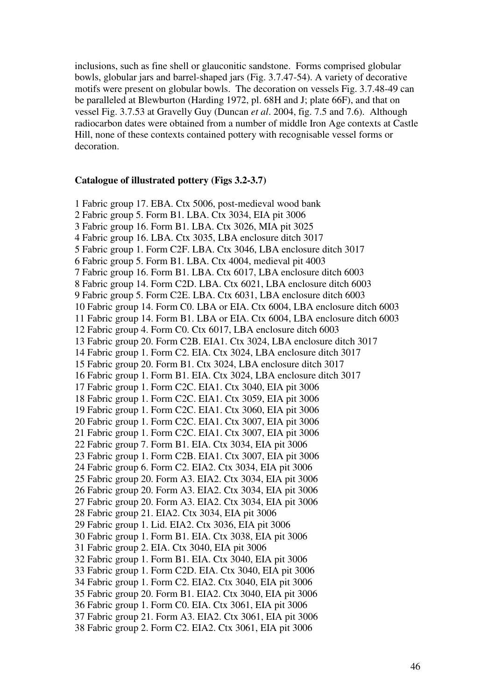inclusions, such as fine shell or glauconitic sandstone. Forms comprised globular bowls, globular jars and barrel-shaped jars (Fig. 3.7.47-54). A variety of decorative motifs were present on globular bowls. The decoration on vessels Fig. 3.7.48-49 can be paralleled at Blewburton (Harding 1972, pl. 68H and J; plate 66F), and that on vessel Fig. 3.7.53 at Gravelly Guy (Duncan *et al*. 2004, fig. 7.5 and 7.6). Although radiocarbon dates were obtained from a number of middle Iron Age contexts at Castle Hill, none of these contexts contained pottery with recognisable vessel forms or decoration.

### **Catalogue of illustrated pottery (Figs 3.2-3.7)**

1 Fabric group 17. EBA. Ctx 5006, post-medieval wood bank 2 Fabric group 5. Form B1. LBA. Ctx 3034, EIA pit 3006 3 Fabric group 16. Form B1. LBA. Ctx 3026, MIA pit 3025 4 Fabric group 16. LBA. Ctx 3035, LBA enclosure ditch 3017 5 Fabric group 1. Form C2F. LBA. Ctx 3046, LBA enclosure ditch 3017 6 Fabric group 5. Form B1. LBA. Ctx 4004, medieval pit 4003 7 Fabric group 16. Form B1. LBA. Ctx 6017, LBA enclosure ditch 6003 8 Fabric group 14. Form C2D. LBA. Ctx 6021, LBA enclosure ditch 6003 9 Fabric group 5. Form C2E. LBA. Ctx 6031, LBA enclosure ditch 6003 10 Fabric group 14. Form C0. LBA or EIA. Ctx 6004, LBA enclosure ditch 6003 11 Fabric group 14. Form B1. LBA or EIA. Ctx 6004, LBA enclosure ditch 6003 12 Fabric group 4. Form C0. Ctx 6017, LBA enclosure ditch 6003 13 Fabric group 20. Form C2B. EIA1. Ctx 3024, LBA enclosure ditch 3017 14 Fabric group 1. Form C2. EIA. Ctx 3024, LBA enclosure ditch 3017 15 Fabric group 20. Form B1. Ctx 3024, LBA enclosure ditch 3017 16 Fabric group 1. Form B1. EIA. Ctx 3024, LBA enclosure ditch 3017 17 Fabric group 1. Form C2C. EIA1. Ctx 3040, EIA pit 3006 18 Fabric group 1. Form C2C. EIA1. Ctx 3059, EIA pit 3006 19 Fabric group 1. Form C2C. EIA1. Ctx 3060, EIA pit 3006 20 Fabric group 1. Form C2C. EIA1. Ctx 3007, EIA pit 3006 21 Fabric group 1. Form C2C. EIA1. Ctx 3007, EIA pit 3006 22 Fabric group 7. Form B1. EIA. Ctx 3034, EIA pit 3006 23 Fabric group 1. Form C2B. EIA1. Ctx 3007, EIA pit 3006 24 Fabric group 6. Form C2. EIA2. Ctx 3034, EIA pit 3006 25 Fabric group 20. Form A3. EIA2. Ctx 3034, EIA pit 3006 26 Fabric group 20. Form A3. EIA2. Ctx 3034, EIA pit 3006 27 Fabric group 20. Form A3. EIA2. Ctx 3034, EIA pit 3006 28 Fabric group 21. EIA2. Ctx 3034, EIA pit 3006 29 Fabric group 1. Lid. EIA2. Ctx 3036, EIA pit 3006 30 Fabric group 1. Form B1. EIA. Ctx 3038, EIA pit 3006 31 Fabric group 2. EIA. Ctx 3040, EIA pit 3006 32 Fabric group 1. Form B1. EIA. Ctx 3040, EIA pit 3006 33 Fabric group 1. Form C2D. EIA. Ctx 3040, EIA pit 3006 34 Fabric group 1. Form C2. EIA2. Ctx 3040, EIA pit 3006 35 Fabric group 20. Form B1. EIA2. Ctx 3040, EIA pit 3006 36 Fabric group 1. Form C0. EIA. Ctx 3061, EIA pit 3006 37 Fabric group 21. Form A3. EIA2. Ctx 3061, EIA pit 3006 38 Fabric group 2. Form C2. EIA2. Ctx 3061, EIA pit 3006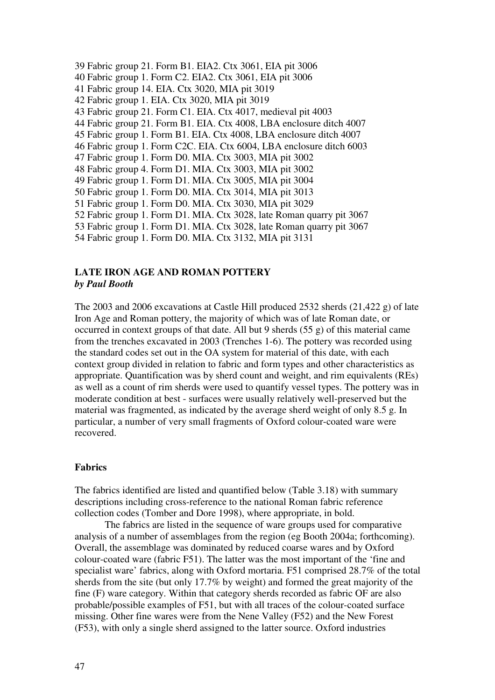- 39 Fabric group 21. Form B1. EIA2. Ctx 3061, EIA pit 3006
- 40 Fabric group 1. Form C2. EIA2. Ctx 3061, EIA pit 3006
- 41 Fabric group 14. EIA. Ctx 3020, MIA pit 3019
- 42 Fabric group 1. EIA. Ctx 3020, MIA pit 3019
- 43 Fabric group 21. Form C1. EIA. Ctx 4017, medieval pit 4003
- 44 Fabric group 21. Form B1. EIA. Ctx 4008, LBA enclosure ditch 4007
- 45 Fabric group 1. Form B1. EIA. Ctx 4008, LBA enclosure ditch 4007
- 46 Fabric group 1. Form C2C. EIA. Ctx 6004, LBA enclosure ditch 6003
- 47 Fabric group 1. Form D0. MIA. Ctx 3003, MIA pit 3002
- 48 Fabric group 4. Form D1. MIA. Ctx 3003, MIA pit 3002
- 49 Fabric group 1. Form D1. MIA. Ctx 3005, MIA pit 3004
- 50 Fabric group 1. Form D0. MIA. Ctx 3014, MIA pit 3013
- 51 Fabric group 1. Form D0. MIA. Ctx 3030, MIA pit 3029
- 52 Fabric group 1. Form D1. MIA. Ctx 3028, late Roman quarry pit 3067
- 53 Fabric group 1. Form D1. MIA. Ctx 3028, late Roman quarry pit 3067
- 54 Fabric group 1. Form D0. MIA. Ctx 3132, MIA pit 3131

# **LATE IRON AGE AND ROMAN POTTERY**

# *by Paul Booth*

The 2003 and 2006 excavations at Castle Hill produced 2532 sherds (21,422 g) of late Iron Age and Roman pottery, the majority of which was of late Roman date, or occurred in context groups of that date. All but 9 sherds (55 g) of this material came from the trenches excavated in 2003 (Trenches 1-6). The pottery was recorded using the standard codes set out in the OA system for material of this date, with each context group divided in relation to fabric and form types and other characteristics as appropriate. Quantification was by sherd count and weight, and rim equivalents (REs) as well as a count of rim sherds were used to quantify vessel types. The pottery was in moderate condition at best - surfaces were usually relatively well-preserved but the material was fragmented, as indicated by the average sherd weight of only 8.5 g. In particular, a number of very small fragments of Oxford colour-coated ware were recovered.

# **Fabrics**

The fabrics identified are listed and quantified below (Table 3.18) with summary descriptions including cross-reference to the national Roman fabric reference collection codes (Tomber and Dore 1998), where appropriate, in bold.

 The fabrics are listed in the sequence of ware groups used for comparative analysis of a number of assemblages from the region (eg Booth 2004a; forthcoming). Overall, the assemblage was dominated by reduced coarse wares and by Oxford colour-coated ware (fabric F51). The latter was the most important of the 'fine and specialist ware' fabrics, along with Oxford mortaria. F51 comprised 28.7% of the total sherds from the site (but only 17.7% by weight) and formed the great majority of the fine (F) ware category. Within that category sherds recorded as fabric OF are also probable/possible examples of F51, but with all traces of the colour-coated surface missing. Other fine wares were from the Nene Valley (F52) and the New Forest (F53), with only a single sherd assigned to the latter source. Oxford industries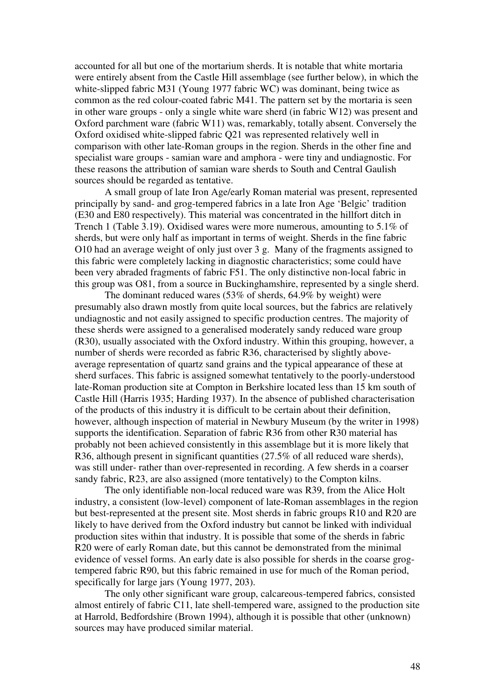accounted for all but one of the mortarium sherds. It is notable that white mortaria were entirely absent from the Castle Hill assemblage (see further below), in which the white-slipped fabric M31 (Young 1977 fabric WC) was dominant, being twice as common as the red colour-coated fabric M41. The pattern set by the mortaria is seen in other ware groups - only a single white ware sherd (in fabric W12) was present and Oxford parchment ware (fabric W11) was, remarkably, totally absent. Conversely the Oxford oxidised white-slipped fabric Q21 was represented relatively well in comparison with other late-Roman groups in the region. Sherds in the other fine and specialist ware groups - samian ware and amphora - were tiny and undiagnostic. For these reasons the attribution of samian ware sherds to South and Central Gaulish sources should be regarded as tentative.

 A small group of late Iron Age/early Roman material was present, represented principally by sand- and grog-tempered fabrics in a late Iron Age 'Belgic' tradition (E30 and E80 respectively). This material was concentrated in the hillfort ditch in Trench 1 (Table 3.19). Oxidised wares were more numerous, amounting to 5.1% of sherds, but were only half as important in terms of weight. Sherds in the fine fabric O10 had an average weight of only just over 3 g. Many of the fragments assigned to this fabric were completely lacking in diagnostic characteristics; some could have been very abraded fragments of fabric F51. The only distinctive non-local fabric in this group was O81, from a source in Buckinghamshire, represented by a single sherd.

 The dominant reduced wares (53% of sherds, 64.9% by weight) were presumably also drawn mostly from quite local sources, but the fabrics are relatively undiagnostic and not easily assigned to specific production centres. The majority of these sherds were assigned to a generalised moderately sandy reduced ware group (R30), usually associated with the Oxford industry. Within this grouping, however, a number of sherds were recorded as fabric R36, characterised by slightly aboveaverage representation of quartz sand grains and the typical appearance of these at sherd surfaces. This fabric is assigned somewhat tentatively to the poorly-understood late-Roman production site at Compton in Berkshire located less than 15 km south of Castle Hill (Harris 1935; Harding 1937). In the absence of published characterisation of the products of this industry it is difficult to be certain about their definition, however, although inspection of material in Newbury Museum (by the writer in 1998) supports the identification. Separation of fabric R36 from other R30 material has probably not been achieved consistently in this assemblage but it is more likely that R36, although present in significant quantities (27.5% of all reduced ware sherds), was still under- rather than over-represented in recording. A few sherds in a coarser sandy fabric, R23, are also assigned (more tentatively) to the Compton kilns.

The only identifiable non-local reduced ware was R39, from the Alice Holt industry, a consistent (low-level) component of late-Roman assemblages in the region but best-represented at the present site. Most sherds in fabric groups R10 and R20 are likely to have derived from the Oxford industry but cannot be linked with individual production sites within that industry. It is possible that some of the sherds in fabric R20 were of early Roman date, but this cannot be demonstrated from the minimal evidence of vessel forms. An early date is also possible for sherds in the coarse grogtempered fabric R90, but this fabric remained in use for much of the Roman period, specifically for large jars (Young 1977, 203).

 The only other significant ware group, calcareous-tempered fabrics, consisted almost entirely of fabric C11, late shell-tempered ware, assigned to the production site at Harrold, Bedfordshire (Brown 1994), although it is possible that other (unknown) sources may have produced similar material.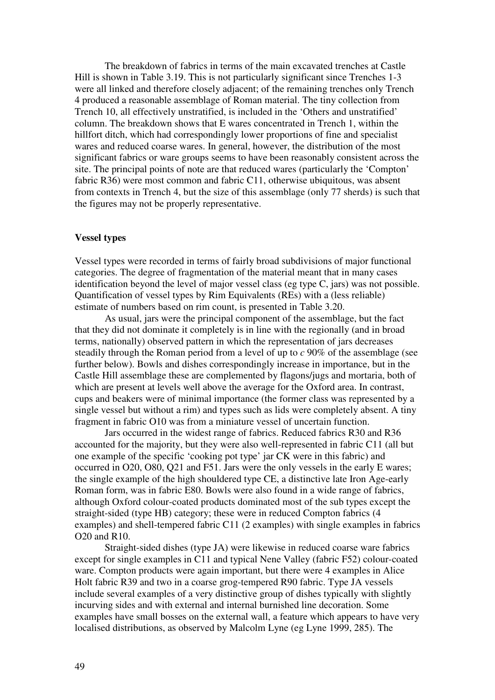The breakdown of fabrics in terms of the main excavated trenches at Castle Hill is shown in Table 3.19. This is not particularly significant since Trenches 1-3 were all linked and therefore closely adjacent; of the remaining trenches only Trench 4 produced a reasonable assemblage of Roman material. The tiny collection from Trench 10, all effectively unstratified, is included in the 'Others and unstratified' column. The breakdown shows that E wares concentrated in Trench 1, within the hillfort ditch, which had correspondingly lower proportions of fine and specialist wares and reduced coarse wares. In general, however, the distribution of the most significant fabrics or ware groups seems to have been reasonably consistent across the site. The principal points of note are that reduced wares (particularly the 'Compton' fabric R36) were most common and fabric C11, otherwise ubiquitous, was absent from contexts in Trench 4, but the size of this assemblage (only 77 sherds) is such that the figures may not be properly representative.

# **Vessel types**

Vessel types were recorded in terms of fairly broad subdivisions of major functional categories. The degree of fragmentation of the material meant that in many cases identification beyond the level of major vessel class (eg type C, jars) was not possible. Quantification of vessel types by Rim Equivalents (REs) with a (less reliable) estimate of numbers based on rim count, is presented in Table 3.20.

 As usual, jars were the principal component of the assemblage, but the fact that they did not dominate it completely is in line with the regionally (and in broad terms, nationally) observed pattern in which the representation of jars decreases steadily through the Roman period from a level of up to *c* 90% of the assemblage (see further below). Bowls and dishes correspondingly increase in importance, but in the Castle Hill assemblage these are complemented by flagons/jugs and mortaria, both of which are present at levels well above the average for the Oxford area. In contrast, cups and beakers were of minimal importance (the former class was represented by a single vessel but without a rim) and types such as lids were completely absent. A tiny fragment in fabric O10 was from a miniature vessel of uncertain function.

 Jars occurred in the widest range of fabrics. Reduced fabrics R30 and R36 accounted for the majority, but they were also well-represented in fabric C11 (all but one example of the specific 'cooking pot type' jar CK were in this fabric) and occurred in O20, O80, Q21 and F51. Jars were the only vessels in the early E wares; the single example of the high shouldered type CE, a distinctive late Iron Age-early Roman form, was in fabric E80. Bowls were also found in a wide range of fabrics, although Oxford colour-coated products dominated most of the sub types except the straight-sided (type HB) category; these were in reduced Compton fabrics (4 examples) and shell-tempered fabric C11 (2 examples) with single examples in fabrics O20 and R10.

Straight-sided dishes (type JA) were likewise in reduced coarse ware fabrics except for single examples in C11 and typical Nene Valley (fabric F52) colour-coated ware. Compton products were again important, but there were 4 examples in Alice Holt fabric R39 and two in a coarse grog-tempered R90 fabric. Type JA vessels include several examples of a very distinctive group of dishes typically with slightly incurving sides and with external and internal burnished line decoration. Some examples have small bosses on the external wall, a feature which appears to have very localised distributions, as observed by Malcolm Lyne (eg Lyne 1999, 285). The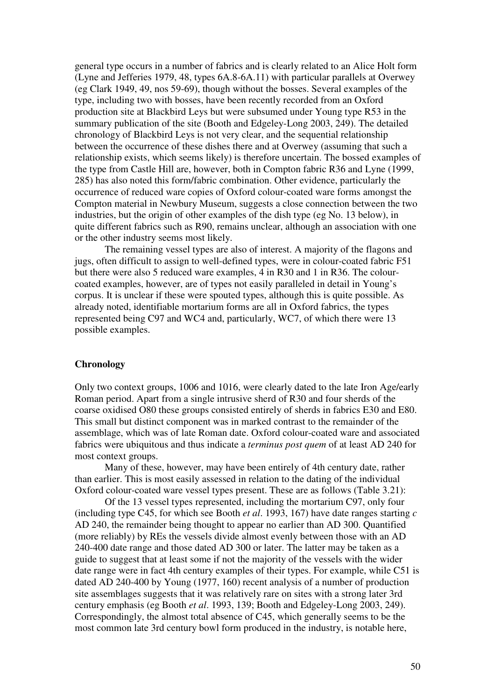general type occurs in a number of fabrics and is clearly related to an Alice Holt form (Lyne and Jefferies 1979, 48, types 6A.8-6A.11) with particular parallels at Overwey (eg Clark 1949, 49, nos 59-69), though without the bosses. Several examples of the type, including two with bosses, have been recently recorded from an Oxford production site at Blackbird Leys but were subsumed under Young type R53 in the summary publication of the site (Booth and Edgeley-Long 2003, 249). The detailed chronology of Blackbird Leys is not very clear, and the sequential relationship between the occurrence of these dishes there and at Overwey (assuming that such a relationship exists, which seems likely) is therefore uncertain. The bossed examples of the type from Castle Hill are, however, both in Compton fabric R36 and Lyne (1999, 285) has also noted this form/fabric combination. Other evidence, particularly the occurrence of reduced ware copies of Oxford colour-coated ware forms amongst the Compton material in Newbury Museum, suggests a close connection between the two industries, but the origin of other examples of the dish type (eg No. 13 below), in quite different fabrics such as R90, remains unclear, although an association with one or the other industry seems most likely.

 The remaining vessel types are also of interest. A majority of the flagons and jugs, often difficult to assign to well-defined types, were in colour-coated fabric F51 but there were also 5 reduced ware examples, 4 in R30 and 1 in R36. The colourcoated examples, however, are of types not easily paralleled in detail in Young's corpus. It is unclear if these were spouted types, although this is quite possible. As already noted, identifiable mortarium forms are all in Oxford fabrics, the types represented being C97 and WC4 and, particularly, WC7, of which there were 13 possible examples.

# **Chronology**

Only two context groups, 1006 and 1016, were clearly dated to the late Iron Age/early Roman period. Apart from a single intrusive sherd of R30 and four sherds of the coarse oxidised O80 these groups consisted entirely of sherds in fabrics E30 and E80. This small but distinct component was in marked contrast to the remainder of the assemblage, which was of late Roman date. Oxford colour-coated ware and associated fabrics were ubiquitous and thus indicate a *terminus post quem* of at least AD 240 for most context groups.

 Many of these, however, may have been entirely of 4th century date, rather than earlier. This is most easily assessed in relation to the dating of the individual Oxford colour-coated ware vessel types present. These are as follows (Table 3.21):

 Of the 13 vessel types represented, including the mortarium C97, only four (including type C45, for which see Booth *et al*. 1993, 167) have date ranges starting *c* AD 240, the remainder being thought to appear no earlier than AD 300. Quantified (more reliably) by REs the vessels divide almost evenly between those with an AD 240-400 date range and those dated AD 300 or later. The latter may be taken as a guide to suggest that at least some if not the majority of the vessels with the wider date range were in fact 4th century examples of their types. For example, while C51 is dated AD 240-400 by Young (1977, 160) recent analysis of a number of production site assemblages suggests that it was relatively rare on sites with a strong later 3rd century emphasis (eg Booth *et al*. 1993, 139; Booth and Edgeley-Long 2003, 249). Correspondingly, the almost total absence of C45, which generally seems to be the most common late 3rd century bowl form produced in the industry, is notable here,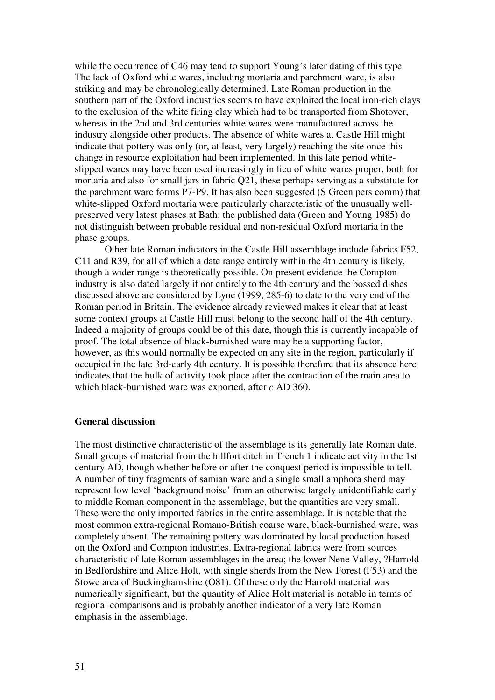while the occurrence of C46 may tend to support Young's later dating of this type. The lack of Oxford white wares, including mortaria and parchment ware, is also striking and may be chronologically determined. Late Roman production in the southern part of the Oxford industries seems to have exploited the local iron-rich clays to the exclusion of the white firing clay which had to be transported from Shotover, whereas in the 2nd and 3rd centuries white wares were manufactured across the industry alongside other products. The absence of white wares at Castle Hill might indicate that pottery was only (or, at least, very largely) reaching the site once this change in resource exploitation had been implemented. In this late period whiteslipped wares may have been used increasingly in lieu of white wares proper, both for mortaria and also for small jars in fabric Q21, these perhaps serving as a substitute for the parchment ware forms P7-P9. It has also been suggested (S Green pers comm) that white-slipped Oxford mortaria were particularly characteristic of the unusually wellpreserved very latest phases at Bath; the published data (Green and Young 1985) do not distinguish between probable residual and non-residual Oxford mortaria in the phase groups.

 Other late Roman indicators in the Castle Hill assemblage include fabrics F52, C11 and R39, for all of which a date range entirely within the 4th century is likely, though a wider range is theoretically possible. On present evidence the Compton industry is also dated largely if not entirely to the 4th century and the bossed dishes discussed above are considered by Lyne (1999, 285-6) to date to the very end of the Roman period in Britain. The evidence already reviewed makes it clear that at least some context groups at Castle Hill must belong to the second half of the 4th century. Indeed a majority of groups could be of this date, though this is currently incapable of proof. The total absence of black-burnished ware may be a supporting factor, however, as this would normally be expected on any site in the region, particularly if occupied in the late 3rd-early 4th century. It is possible therefore that its absence here indicates that the bulk of activity took place after the contraction of the main area to which black-burnished ware was exported, after *c* AD 360.

# **General discussion**

The most distinctive characteristic of the assemblage is its generally late Roman date. Small groups of material from the hillfort ditch in Trench 1 indicate activity in the 1st century AD, though whether before or after the conquest period is impossible to tell. A number of tiny fragments of samian ware and a single small amphora sherd may represent low level 'background noise' from an otherwise largely unidentifiable early to middle Roman component in the assemblage, but the quantities are very small. These were the only imported fabrics in the entire assemblage. It is notable that the most common extra-regional Romano-British coarse ware, black-burnished ware, was completely absent. The remaining pottery was dominated by local production based on the Oxford and Compton industries. Extra-regional fabrics were from sources characteristic of late Roman assemblages in the area; the lower Nene Valley, ?Harrold in Bedfordshire and Alice Holt, with single sherds from the New Forest (F53) and the Stowe area of Buckinghamshire (O81). Of these only the Harrold material was numerically significant, but the quantity of Alice Holt material is notable in terms of regional comparisons and is probably another indicator of a very late Roman emphasis in the assemblage.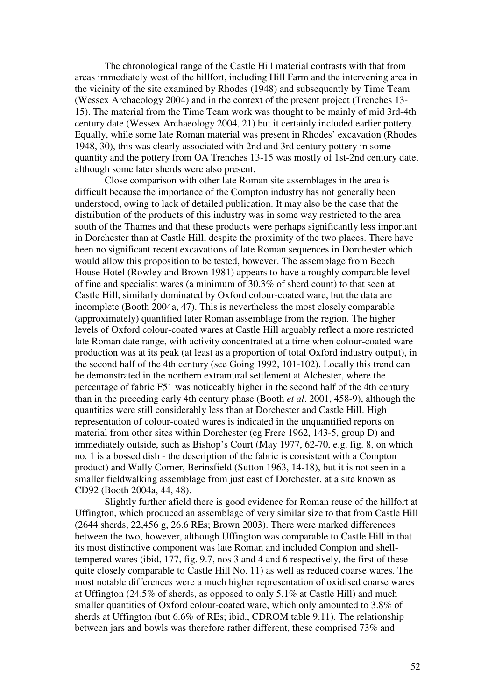The chronological range of the Castle Hill material contrasts with that from areas immediately west of the hillfort, including Hill Farm and the intervening area in the vicinity of the site examined by Rhodes (1948) and subsequently by Time Team (Wessex Archaeology 2004) and in the context of the present project (Trenches 13- 15). The material from the Time Team work was thought to be mainly of mid 3rd-4th century date (Wessex Archaeology 2004, 21) but it certainly included earlier pottery. Equally, while some late Roman material was present in Rhodes' excavation (Rhodes 1948, 30), this was clearly associated with 2nd and 3rd century pottery in some quantity and the pottery from OA Trenches 13-15 was mostly of 1st-2nd century date, although some later sherds were also present.

Close comparison with other late Roman site assemblages in the area is difficult because the importance of the Compton industry has not generally been understood, owing to lack of detailed publication. It may also be the case that the distribution of the products of this industry was in some way restricted to the area south of the Thames and that these products were perhaps significantly less important in Dorchester than at Castle Hill, despite the proximity of the two places. There have been no significant recent excavations of late Roman sequences in Dorchester which would allow this proposition to be tested, however. The assemblage from Beech House Hotel (Rowley and Brown 1981) appears to have a roughly comparable level of fine and specialist wares (a minimum of 30.3% of sherd count) to that seen at Castle Hill, similarly dominated by Oxford colour-coated ware, but the data are incomplete (Booth 2004a, 47). This is nevertheless the most closely comparable (approximately) quantified later Roman assemblage from the region. The higher levels of Oxford colour-coated wares at Castle Hill arguably reflect a more restricted late Roman date range, with activity concentrated at a time when colour-coated ware production was at its peak (at least as a proportion of total Oxford industry output), in the second half of the 4th century (see Going 1992, 101-102). Locally this trend can be demonstrated in the northern extramural settlement at Alchester, where the percentage of fabric F51 was noticeably higher in the second half of the 4th century than in the preceding early 4th century phase (Booth *et al*. 2001, 458-9), although the quantities were still considerably less than at Dorchester and Castle Hill. High representation of colour-coated wares is indicated in the unquantified reports on material from other sites within Dorchester (eg Frere 1962, 143-5, group D) and immediately outside, such as Bishop's Court (May 1977, 62-70, e.g. fig. 8, on which no. 1 is a bossed dish - the description of the fabric is consistent with a Compton product) and Wally Corner, Berinsfield (Sutton 1963, 14-18), but it is not seen in a smaller fieldwalking assemblage from just east of Dorchester, at a site known as CD92 (Booth 2004a, 44, 48).

 Slightly further afield there is good evidence for Roman reuse of the hillfort at Uffington, which produced an assemblage of very similar size to that from Castle Hill (2644 sherds, 22,456 g, 26.6 REs; Brown 2003). There were marked differences between the two, however, although Uffington was comparable to Castle Hill in that its most distinctive component was late Roman and included Compton and shelltempered wares (ibid, 177, fig. 9.7, nos 3 and 4 and 6 respectively, the first of these quite closely comparable to Castle Hill No. 11) as well as reduced coarse wares. The most notable differences were a much higher representation of oxidised coarse wares at Uffington (24.5% of sherds, as opposed to only 5.1% at Castle Hill) and much smaller quantities of Oxford colour-coated ware, which only amounted to 3.8% of sherds at Uffington (but 6.6% of REs; ibid., CDROM table 9.11). The relationship between jars and bowls was therefore rather different, these comprised 73% and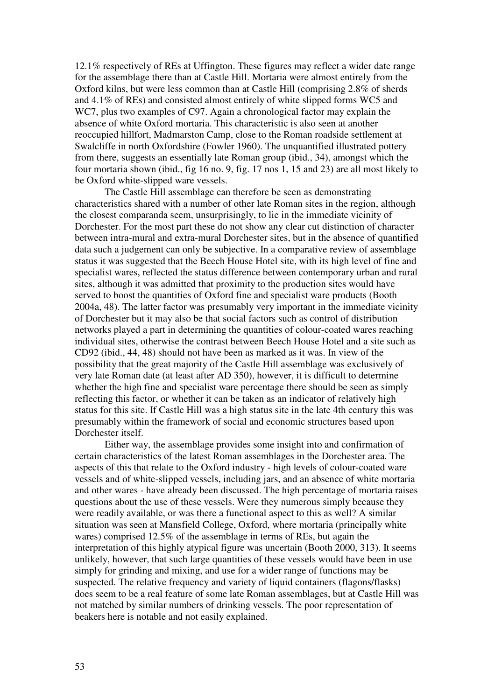12.1% respectively of REs at Uffington. These figures may reflect a wider date range for the assemblage there than at Castle Hill. Mortaria were almost entirely from the Oxford kilns, but were less common than at Castle Hill (comprising 2.8% of sherds and 4.1% of REs) and consisted almost entirely of white slipped forms WC5 and WC7, plus two examples of C97. Again a chronological factor may explain the absence of white Oxford mortaria. This characteristic is also seen at another reoccupied hillfort, Madmarston Camp, close to the Roman roadside settlement at Swalcliffe in north Oxfordshire (Fowler 1960). The unquantified illustrated pottery from there, suggests an essentially late Roman group (ibid., 34), amongst which the four mortaria shown (ibid., fig 16 no. 9, fig. 17 nos 1, 15 and 23) are all most likely to be Oxford white-slipped ware vessels.

 The Castle Hill assemblage can therefore be seen as demonstrating characteristics shared with a number of other late Roman sites in the region, although the closest comparanda seem, unsurprisingly, to lie in the immediate vicinity of Dorchester. For the most part these do not show any clear cut distinction of character between intra-mural and extra-mural Dorchester sites, but in the absence of quantified data such a judgement can only be subjective. In a comparative review of assemblage status it was suggested that the Beech House Hotel site, with its high level of fine and specialist wares, reflected the status difference between contemporary urban and rural sites, although it was admitted that proximity to the production sites would have served to boost the quantities of Oxford fine and specialist ware products (Booth 2004a, 48). The latter factor was presumably very important in the immediate vicinity of Dorchester but it may also be that social factors such as control of distribution networks played a part in determining the quantities of colour-coated wares reaching individual sites, otherwise the contrast between Beech House Hotel and a site such as CD92 (ibid., 44, 48) should not have been as marked as it was. In view of the possibility that the great majority of the Castle Hill assemblage was exclusively of very late Roman date (at least after AD 350), however, it is difficult to determine whether the high fine and specialist ware percentage there should be seen as simply reflecting this factor, or whether it can be taken as an indicator of relatively high status for this site. If Castle Hill was a high status site in the late 4th century this was presumably within the framework of social and economic structures based upon Dorchester itself.

 Either way, the assemblage provides some insight into and confirmation of certain characteristics of the latest Roman assemblages in the Dorchester area. The aspects of this that relate to the Oxford industry - high levels of colour-coated ware vessels and of white-slipped vessels, including jars, and an absence of white mortaria and other wares - have already been discussed. The high percentage of mortaria raises questions about the use of these vessels. Were they numerous simply because they were readily available, or was there a functional aspect to this as well? A similar situation was seen at Mansfield College, Oxford, where mortaria (principally white wares) comprised 12.5% of the assemblage in terms of REs, but again the interpretation of this highly atypical figure was uncertain (Booth 2000, 313). It seems unlikely, however, that such large quantities of these vessels would have been in use simply for grinding and mixing, and use for a wider range of functions may be suspected. The relative frequency and variety of liquid containers (flagons/flasks) does seem to be a real feature of some late Roman assemblages, but at Castle Hill was not matched by similar numbers of drinking vessels. The poor representation of beakers here is notable and not easily explained.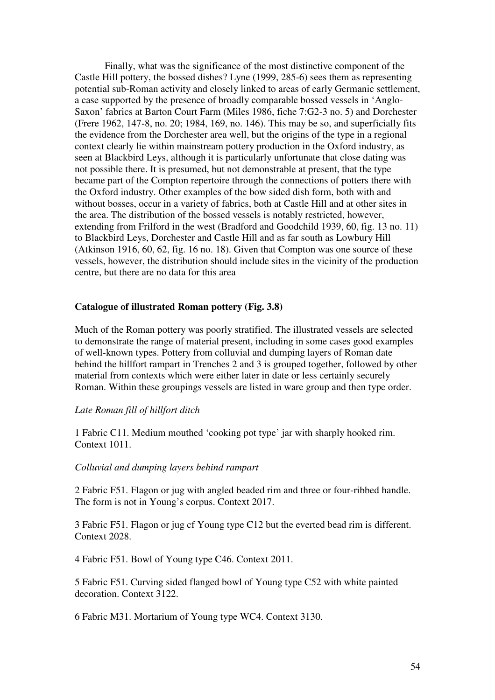Finally, what was the significance of the most distinctive component of the Castle Hill pottery, the bossed dishes? Lyne (1999, 285-6) sees them as representing potential sub-Roman activity and closely linked to areas of early Germanic settlement, a case supported by the presence of broadly comparable bossed vessels in 'Anglo-Saxon' fabrics at Barton Court Farm (Miles 1986, fiche 7:G2-3 no. 5) and Dorchester (Frere 1962, 147-8, no. 20; 1984, 169, no. 146). This may be so, and superficially fits the evidence from the Dorchester area well, but the origins of the type in a regional context clearly lie within mainstream pottery production in the Oxford industry, as seen at Blackbird Leys, although it is particularly unfortunate that close dating was not possible there. It is presumed, but not demonstrable at present, that the type became part of the Compton repertoire through the connections of potters there with the Oxford industry. Other examples of the bow sided dish form, both with and without bosses, occur in a variety of fabrics, both at Castle Hill and at other sites in the area. The distribution of the bossed vessels is notably restricted, however, extending from Frilford in the west (Bradford and Goodchild 1939, 60, fig. 13 no. 11) to Blackbird Leys, Dorchester and Castle Hill and as far south as Lowbury Hill (Atkinson 1916, 60, 62, fig. 16 no. 18). Given that Compton was one source of these vessels, however, the distribution should include sites in the vicinity of the production centre, but there are no data for this area

# **Catalogue of illustrated Roman pottery (Fig. 3.8)**

Much of the Roman pottery was poorly stratified. The illustrated vessels are selected to demonstrate the range of material present, including in some cases good examples of well-known types. Pottery from colluvial and dumping layers of Roman date behind the hillfort rampart in Trenches 2 and 3 is grouped together, followed by other material from contexts which were either later in date or less certainly securely Roman. Within these groupings vessels are listed in ware group and then type order.

#### *Late Roman fill of hillfort ditch*

1 Fabric C11. Medium mouthed 'cooking pot type' jar with sharply hooked rim. Context 1011.

#### *Colluvial and dumping layers behind rampart*

2 Fabric F51. Flagon or jug with angled beaded rim and three or four-ribbed handle. The form is not in Young's corpus. Context 2017.

3 Fabric F51. Flagon or jug cf Young type C12 but the everted bead rim is different. Context 2028.

4 Fabric F51. Bowl of Young type C46. Context 2011.

5 Fabric F51. Curving sided flanged bowl of Young type C52 with white painted decoration. Context 3122.

6 Fabric M31. Mortarium of Young type WC4. Context 3130.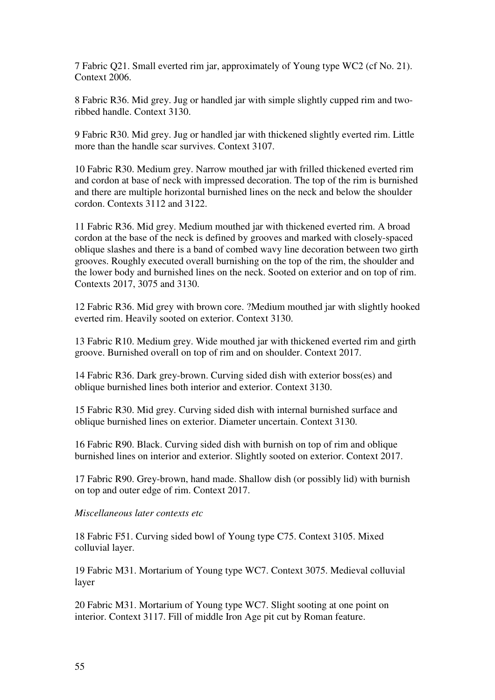7 Fabric Q21. Small everted rim jar, approximately of Young type WC2 (cf No. 21). Context 2006.

8 Fabric R36. Mid grey. Jug or handled jar with simple slightly cupped rim and tworibbed handle. Context 3130.

9 Fabric R30. Mid grey. Jug or handled jar with thickened slightly everted rim. Little more than the handle scar survives. Context 3107.

10 Fabric R30. Medium grey. Narrow mouthed jar with frilled thickened everted rim and cordon at base of neck with impressed decoration. The top of the rim is burnished and there are multiple horizontal burnished lines on the neck and below the shoulder cordon. Contexts 3112 and 3122.

11 Fabric R36. Mid grey. Medium mouthed jar with thickened everted rim. A broad cordon at the base of the neck is defined by grooves and marked with closely-spaced oblique slashes and there is a band of combed wavy line decoration between two girth grooves. Roughly executed overall burnishing on the top of the rim, the shoulder and the lower body and burnished lines on the neck. Sooted on exterior and on top of rim. Contexts 2017, 3075 and 3130.

12 Fabric R36. Mid grey with brown core. ?Medium mouthed jar with slightly hooked everted rim. Heavily sooted on exterior. Context 3130.

13 Fabric R10. Medium grey. Wide mouthed jar with thickened everted rim and girth groove. Burnished overall on top of rim and on shoulder. Context 2017.

14 Fabric R36. Dark grey-brown. Curving sided dish with exterior boss(es) and oblique burnished lines both interior and exterior. Context 3130.

15 Fabric R30. Mid grey. Curving sided dish with internal burnished surface and oblique burnished lines on exterior. Diameter uncertain. Context 3130.

16 Fabric R90. Black. Curving sided dish with burnish on top of rim and oblique burnished lines on interior and exterior. Slightly sooted on exterior. Context 2017.

17 Fabric R90. Grey-brown, hand made. Shallow dish (or possibly lid) with burnish on top and outer edge of rim. Context 2017.

# *Miscellaneous later contexts etc*

18 Fabric F51. Curving sided bowl of Young type C75. Context 3105. Mixed colluvial layer.

19 Fabric M31. Mortarium of Young type WC7. Context 3075. Medieval colluvial layer

20 Fabric M31. Mortarium of Young type WC7. Slight sooting at one point on interior. Context 3117. Fill of middle Iron Age pit cut by Roman feature.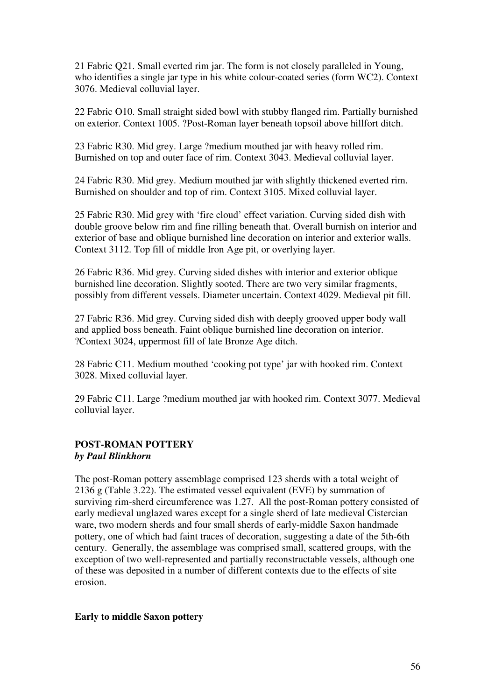21 Fabric Q21. Small everted rim jar. The form is not closely paralleled in Young, who identifies a single jar type in his white colour-coated series (form WC2). Context 3076. Medieval colluvial layer.

22 Fabric O10. Small straight sided bowl with stubby flanged rim. Partially burnished on exterior. Context 1005. ?Post-Roman layer beneath topsoil above hillfort ditch.

23 Fabric R30. Mid grey. Large ?medium mouthed jar with heavy rolled rim. Burnished on top and outer face of rim. Context 3043. Medieval colluvial layer.

24 Fabric R30. Mid grey. Medium mouthed jar with slightly thickened everted rim. Burnished on shoulder and top of rim. Context 3105. Mixed colluvial layer.

25 Fabric R30. Mid grey with 'fire cloud' effect variation. Curving sided dish with double groove below rim and fine rilling beneath that. Overall burnish on interior and exterior of base and oblique burnished line decoration on interior and exterior walls. Context 3112. Top fill of middle Iron Age pit, or overlying layer.

26 Fabric R36. Mid grey. Curving sided dishes with interior and exterior oblique burnished line decoration. Slightly sooted. There are two very similar fragments, possibly from different vessels. Diameter uncertain. Context 4029. Medieval pit fill.

27 Fabric R36. Mid grey. Curving sided dish with deeply grooved upper body wall and applied boss beneath. Faint oblique burnished line decoration on interior. ?Context 3024, uppermost fill of late Bronze Age ditch.

28 Fabric C11. Medium mouthed 'cooking pot type' jar with hooked rim. Context 3028. Mixed colluvial layer.

29 Fabric C11. Large ?medium mouthed jar with hooked rim. Context 3077. Medieval colluvial layer.

# **POST-ROMAN POTTERY**  *by Paul Blinkhorn*

The post-Roman pottery assemblage comprised 123 sherds with a total weight of 2136 g (Table 3.22). The estimated vessel equivalent (EVE) by summation of surviving rim-sherd circumference was 1.27. All the post-Roman pottery consisted of early medieval unglazed wares except for a single sherd of late medieval Cistercian ware, two modern sherds and four small sherds of early-middle Saxon handmade pottery, one of which had faint traces of decoration, suggesting a date of the 5th-6th century. Generally, the assemblage was comprised small, scattered groups, with the exception of two well-represented and partially reconstructable vessels, although one of these was deposited in a number of different contexts due to the effects of site erosion.

# **Early to middle Saxon pottery**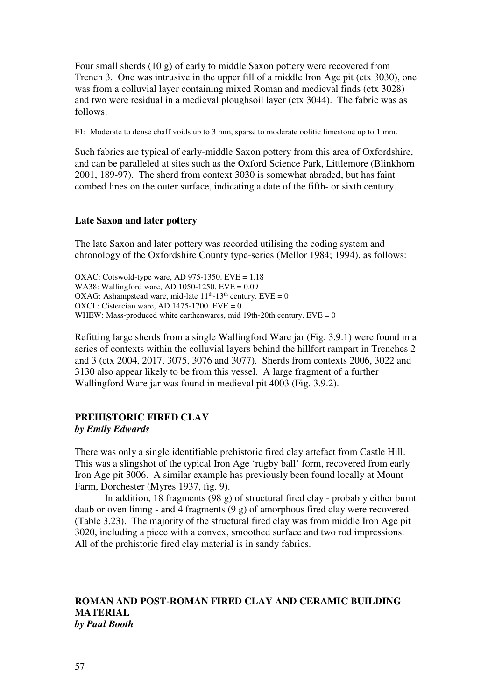Four small sherds (10 g) of early to middle Saxon pottery were recovered from Trench 3. One was intrusive in the upper fill of a middle Iron Age pit (ctx 3030), one was from a colluvial layer containing mixed Roman and medieval finds (ctx 3028) and two were residual in a medieval ploughsoil layer (ctx 3044). The fabric was as follows:

F1: Moderate to dense chaff voids up to 3 mm, sparse to moderate oolitic limestone up to 1 mm.

Such fabrics are typical of early-middle Saxon pottery from this area of Oxfordshire, and can be paralleled at sites such as the Oxford Science Park, Littlemore (Blinkhorn 2001, 189-97). The sherd from context 3030 is somewhat abraded, but has faint combed lines on the outer surface, indicating a date of the fifth- or sixth century.

# **Late Saxon and later pottery**

The late Saxon and later pottery was recorded utilising the coding system and chronology of the Oxfordshire County type-series (Mellor 1984; 1994), as follows:

OXAC: Cotswold-type ware, AD 975-1350. EVE =  $1.18$ WA38: Wallingford ware, AD 1050-1250. EVE = 0.09 OXAG: Ashampstead ware, mid-late  $11<sup>th</sup>$ -13<sup>th</sup> century. EVE = 0 OXCL: Cistercian ware, AD  $1475-1700$ . EVE = 0 WHEW: Mass-produced white earthenwares, mid 19th-20th century.  $EVE = 0$ 

Refitting large sherds from a single Wallingford Ware jar (Fig. 3.9.1) were found in a series of contexts within the colluvial layers behind the hillfort rampart in Trenches 2 and 3 (ctx 2004, 2017, 3075, 3076 and 3077). Sherds from contexts 2006, 3022 and 3130 also appear likely to be from this vessel. A large fragment of a further Wallingford Ware jar was found in medieval pit 4003 (Fig. 3.9.2).

# **PREHISTORIC FIRED CLAY**

#### *by Emily Edwards*

There was only a single identifiable prehistoric fired clay artefact from Castle Hill. This was a slingshot of the typical Iron Age 'rugby ball' form, recovered from early Iron Age pit 3006. A similar example has previously been found locally at Mount Farm, Dorchester (Myres 1937, fig. 9).

In addition, 18 fragments (98 g) of structural fired clay - probably either burnt daub or oven lining - and 4 fragments (9 g) of amorphous fired clay were recovered (Table 3.23). The majority of the structural fired clay was from middle Iron Age pit 3020, including a piece with a convex, smoothed surface and two rod impressions. All of the prehistoric fired clay material is in sandy fabrics.

# **ROMAN AND POST-ROMAN FIRED CLAY AND CERAMIC BUILDING MATERIAL**  *by Paul Booth*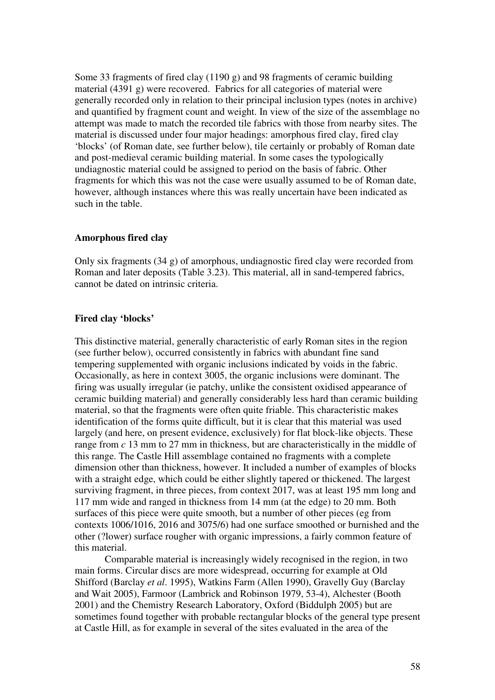Some 33 fragments of fired clay (1190 g) and 98 fragments of ceramic building material (4391 g) were recovered. Fabrics for all categories of material were generally recorded only in relation to their principal inclusion types (notes in archive) and quantified by fragment count and weight. In view of the size of the assemblage no attempt was made to match the recorded tile fabrics with those from nearby sites. The material is discussed under four major headings: amorphous fired clay, fired clay 'blocks' (of Roman date, see further below), tile certainly or probably of Roman date and post-medieval ceramic building material. In some cases the typologically undiagnostic material could be assigned to period on the basis of fabric. Other fragments for which this was not the case were usually assumed to be of Roman date, however, although instances where this was really uncertain have been indicated as such in the table.

# **Amorphous fired clay**

Only six fragments (34 g) of amorphous, undiagnostic fired clay were recorded from Roman and later deposits (Table 3.23). This material, all in sand-tempered fabrics, cannot be dated on intrinsic criteria.

# **Fired clay 'blocks'**

This distinctive material, generally characteristic of early Roman sites in the region (see further below), occurred consistently in fabrics with abundant fine sand tempering supplemented with organic inclusions indicated by voids in the fabric. Occasionally, as here in context 3005, the organic inclusions were dominant. The firing was usually irregular (ie patchy, unlike the consistent oxidised appearance of ceramic building material) and generally considerably less hard than ceramic building material, so that the fragments were often quite friable. This characteristic makes identification of the forms quite difficult, but it is clear that this material was used largely (and here, on present evidence, exclusively) for flat block-like objects. These range from *c* 13 mm to 27 mm in thickness, but are characteristically in the middle of this range. The Castle Hill assemblage contained no fragments with a complete dimension other than thickness, however. It included a number of examples of blocks with a straight edge, which could be either slightly tapered or thickened. The largest surviving fragment, in three pieces, from context 2017, was at least 195 mm long and 117 mm wide and ranged in thickness from 14 mm (at the edge) to 20 mm. Both surfaces of this piece were quite smooth, but a number of other pieces (eg from contexts 1006/1016, 2016 and 3075/6) had one surface smoothed or burnished and the other (?lower) surface rougher with organic impressions, a fairly common feature of this material.

 Comparable material is increasingly widely recognised in the region, in two main forms. Circular discs are more widespread, occurring for example at Old Shifford (Barclay *et al*. 1995), Watkins Farm (Allen 1990), Gravelly Guy (Barclay and Wait 2005), Farmoor (Lambrick and Robinson 1979, 53-4), Alchester (Booth 2001) and the Chemistry Research Laboratory, Oxford (Biddulph 2005) but are sometimes found together with probable rectangular blocks of the general type present at Castle Hill, as for example in several of the sites evaluated in the area of the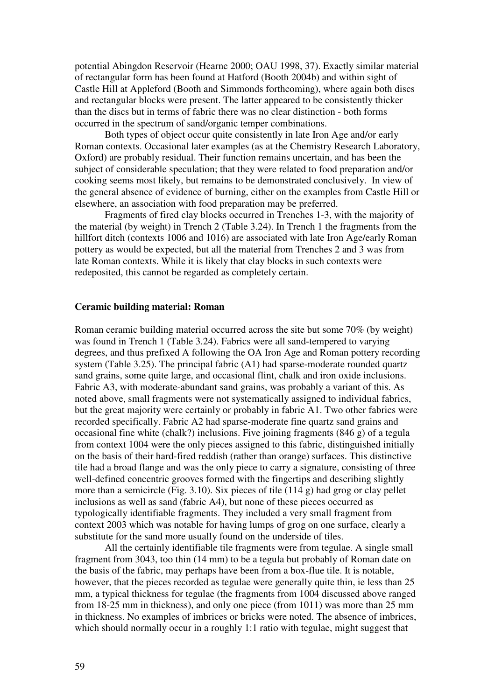potential Abingdon Reservoir (Hearne 2000; OAU 1998, 37). Exactly similar material of rectangular form has been found at Hatford (Booth 2004b) and within sight of Castle Hill at Appleford (Booth and Simmonds forthcoming), where again both discs and rectangular blocks were present. The latter appeared to be consistently thicker than the discs but in terms of fabric there was no clear distinction - both forms occurred in the spectrum of sand/organic temper combinations.

 Both types of object occur quite consistently in late Iron Age and/or early Roman contexts. Occasional later examples (as at the Chemistry Research Laboratory, Oxford) are probably residual. Their function remains uncertain, and has been the subject of considerable speculation; that they were related to food preparation and/or cooking seems most likely, but remains to be demonstrated conclusively. In view of the general absence of evidence of burning, either on the examples from Castle Hill or elsewhere, an association with food preparation may be preferred.

 Fragments of fired clay blocks occurred in Trenches 1-3, with the majority of the material (by weight) in Trench 2 (Table 3.24). In Trench 1 the fragments from the hillfort ditch (contexts 1006 and 1016) are associated with late Iron Age/early Roman pottery as would be expected, but all the material from Trenches 2 and 3 was from late Roman contexts. While it is likely that clay blocks in such contexts were redeposited, this cannot be regarded as completely certain.

# **Ceramic building material: Roman**

Roman ceramic building material occurred across the site but some 70% (by weight) was found in Trench 1 (Table 3.24). Fabrics were all sand-tempered to varying degrees, and thus prefixed A following the OA Iron Age and Roman pottery recording system (Table 3.25). The principal fabric (A1) had sparse-moderate rounded quartz sand grains, some quite large, and occasional flint, chalk and iron oxide inclusions. Fabric A3, with moderate-abundant sand grains, was probably a variant of this. As noted above, small fragments were not systematically assigned to individual fabrics, but the great majority were certainly or probably in fabric A1. Two other fabrics were recorded specifically. Fabric A2 had sparse-moderate fine quartz sand grains and occasional fine white (chalk?) inclusions. Five joining fragments (846 g) of a tegula from context 1004 were the only pieces assigned to this fabric, distinguished initially on the basis of their hard-fired reddish (rather than orange) surfaces. This distinctive tile had a broad flange and was the only piece to carry a signature, consisting of three well-defined concentric grooves formed with the fingertips and describing slightly more than a semicircle (Fig. 3.10). Six pieces of tile (114 g) had grog or clay pellet inclusions as well as sand (fabric A4), but none of these pieces occurred as typologically identifiable fragments. They included a very small fragment from context 2003 which was notable for having lumps of grog on one surface, clearly a substitute for the sand more usually found on the underside of tiles.

 All the certainly identifiable tile fragments were from tegulae. A single small fragment from 3043, too thin (14 mm) to be a tegula but probably of Roman date on the basis of the fabric, may perhaps have been from a box-flue tile. It is notable, however, that the pieces recorded as tegulae were generally quite thin, ie less than 25 mm, a typical thickness for tegulae (the fragments from 1004 discussed above ranged from 18-25 mm in thickness), and only one piece (from 1011) was more than 25 mm in thickness. No examples of imbrices or bricks were noted. The absence of imbrices, which should normally occur in a roughly 1:1 ratio with tegulae, might suggest that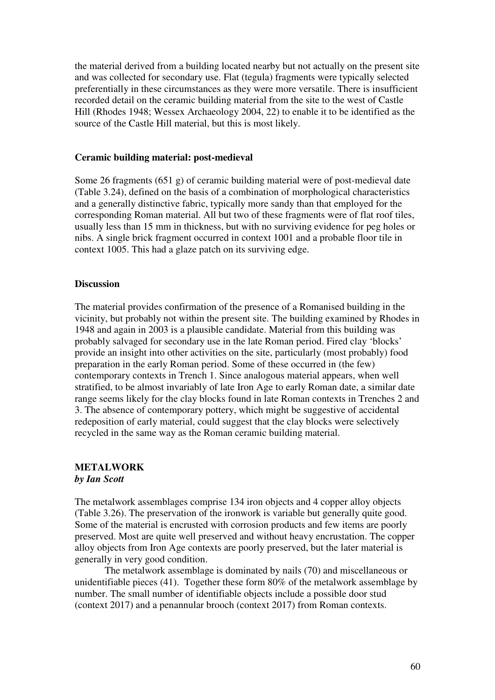the material derived from a building located nearby but not actually on the present site and was collected for secondary use. Flat (tegula) fragments were typically selected preferentially in these circumstances as they were more versatile. There is insufficient recorded detail on the ceramic building material from the site to the west of Castle Hill (Rhodes 1948; Wessex Archaeology 2004, 22) to enable it to be identified as the source of the Castle Hill material, but this is most likely.

#### **Ceramic building material: post-medieval**

Some 26 fragments (651 g) of ceramic building material were of post-medieval date (Table 3.24), defined on the basis of a combination of morphological characteristics and a generally distinctive fabric, typically more sandy than that employed for the corresponding Roman material. All but two of these fragments were of flat roof tiles, usually less than 15 mm in thickness, but with no surviving evidence for peg holes or nibs. A single brick fragment occurred in context 1001 and a probable floor tile in context 1005. This had a glaze patch on its surviving edge.

#### **Discussion**

The material provides confirmation of the presence of a Romanised building in the vicinity, but probably not within the present site. The building examined by Rhodes in 1948 and again in 2003 is a plausible candidate. Material from this building was probably salvaged for secondary use in the late Roman period. Fired clay 'blocks' provide an insight into other activities on the site, particularly (most probably) food preparation in the early Roman period. Some of these occurred in (the few) contemporary contexts in Trench 1. Since analogous material appears, when well stratified, to be almost invariably of late Iron Age to early Roman date, a similar date range seems likely for the clay blocks found in late Roman contexts in Trenches 2 and 3. The absence of contemporary pottery, which might be suggestive of accidental redeposition of early material, could suggest that the clay blocks were selectively recycled in the same way as the Roman ceramic building material.

# **METALWORK**  *by Ian Scott*

The metalwork assemblages comprise 134 iron objects and 4 copper alloy objects (Table 3.26). The preservation of the ironwork is variable but generally quite good. Some of the material is encrusted with corrosion products and few items are poorly preserved. Most are quite well preserved and without heavy encrustation. The copper alloy objects from Iron Age contexts are poorly preserved, but the later material is generally in very good condition.

 The metalwork assemblage is dominated by nails (70) and miscellaneous or unidentifiable pieces (41). Together these form 80% of the metalwork assemblage by number. The small number of identifiable objects include a possible door stud (context 2017) and a penannular brooch (context 2017) from Roman contexts.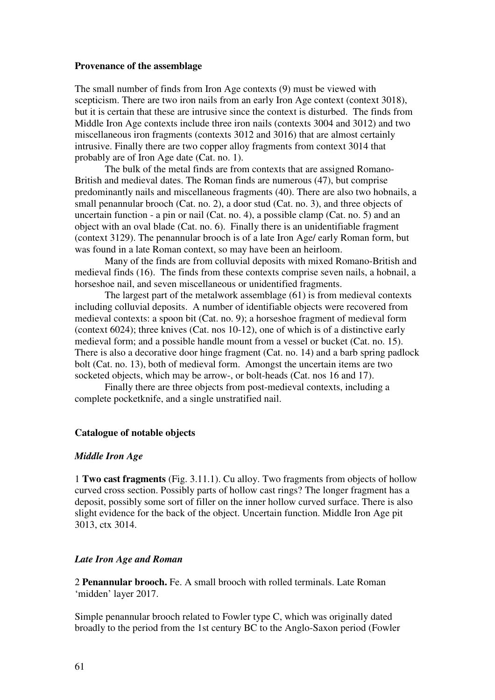#### **Provenance of the assemblage**

The small number of finds from Iron Age contexts (9) must be viewed with scepticism. There are two iron nails from an early Iron Age context (context 3018), but it is certain that these are intrusive since the context is disturbed. The finds from Middle Iron Age contexts include three iron nails (contexts 3004 and 3012) and two miscellaneous iron fragments (contexts 3012 and 3016) that are almost certainly intrusive. Finally there are two copper alloy fragments from context 3014 that probably are of Iron Age date (Cat. no. 1).

 The bulk of the metal finds are from contexts that are assigned Romano-British and medieval dates. The Roman finds are numerous (47), but comprise predominantly nails and miscellaneous fragments (40). There are also two hobnails, a small penannular brooch (Cat. no. 2), a door stud (Cat. no. 3), and three objects of uncertain function - a pin or nail (Cat. no. 4), a possible clamp (Cat. no. 5) and an object with an oval blade (Cat. no. 6). Finally there is an unidentifiable fragment (context 3129). The penannular brooch is of a late Iron Age/ early Roman form, but was found in a late Roman context, so may have been an heirloom.

 Many of the finds are from colluvial deposits with mixed Romano-British and medieval finds (16). The finds from these contexts comprise seven nails, a hobnail, a horseshoe nail, and seven miscellaneous or unidentified fragments.

 The largest part of the metalwork assemblage (61) is from medieval contexts including colluvial deposits. A number of identifiable objects were recovered from medieval contexts: a spoon bit (Cat. no. 9); a horseshoe fragment of medieval form (context 6024); three knives (Cat. nos 10-12), one of which is of a distinctive early medieval form; and a possible handle mount from a vessel or bucket (Cat. no. 15). There is also a decorative door hinge fragment (Cat. no. 14) and a barb spring padlock bolt (Cat. no. 13), both of medieval form. Amongst the uncertain items are two socketed objects, which may be arrow-, or bolt-heads (Cat. nos 16 and 17).

 Finally there are three objects from post-medieval contexts, including a complete pocketknife, and a single unstratified nail.

#### **Catalogue of notable objects**

# *Middle Iron Age*

1 **Two cast fragments** (Fig. 3.11.1). Cu alloy. Two fragments from objects of hollow curved cross section. Possibly parts of hollow cast rings? The longer fragment has a deposit, possibly some sort of filler on the inner hollow curved surface. There is also slight evidence for the back of the object. Uncertain function. Middle Iron Age pit 3013, ctx 3014.

# *Late Iron Age and Roman*

2 **Penannular brooch.** Fe. A small brooch with rolled terminals. Late Roman 'midden' layer 2017.

Simple penannular brooch related to Fowler type C, which was originally dated broadly to the period from the 1st century BC to the Anglo-Saxon period (Fowler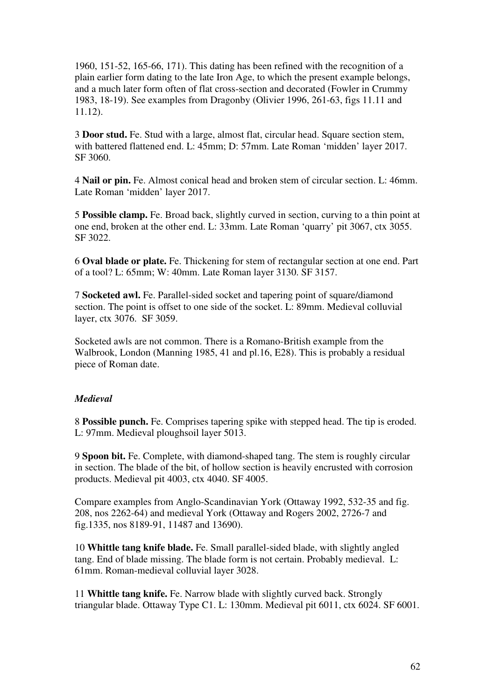1960, 151-52, 165-66, 171). This dating has been refined with the recognition of a plain earlier form dating to the late Iron Age, to which the present example belongs, and a much later form often of flat cross-section and decorated (Fowler in Crummy 1983, 18-19). See examples from Dragonby (Olivier 1996, 261-63, figs 11.11 and 11.12).

3 **Door stud.** Fe. Stud with a large, almost flat, circular head. Square section stem, with battered flattened end. L: 45mm; D: 57mm. Late Roman 'midden' layer 2017. SF 3060.

4 **Nail or pin.** Fe. Almost conical head and broken stem of circular section. L: 46mm. Late Roman 'midden' layer 2017.

5 **Possible clamp.** Fe. Broad back, slightly curved in section, curving to a thin point at one end, broken at the other end. L: 33mm. Late Roman 'quarry' pit 3067, ctx 3055. SF 3022.

6 **Oval blade or plate.** Fe. Thickening for stem of rectangular section at one end. Part of a tool? L: 65mm; W: 40mm. Late Roman layer 3130. SF 3157.

7 **Socketed awl.** Fe. Parallel-sided socket and tapering point of square/diamond section. The point is offset to one side of the socket. L: 89mm. Medieval colluvial layer, ctx 3076. SF 3059.

Socketed awls are not common. There is a Romano-British example from the Walbrook, London (Manning 1985, 41 and pl.16, E28). This is probably a residual piece of Roman date.

# *Medieval*

8 **Possible punch.** Fe. Comprises tapering spike with stepped head. The tip is eroded. L: 97mm. Medieval ploughsoil layer 5013.

9 **Spoon bit.** Fe. Complete, with diamond-shaped tang. The stem is roughly circular in section. The blade of the bit, of hollow section is heavily encrusted with corrosion products. Medieval pit 4003, ctx 4040. SF 4005.

Compare examples from Anglo-Scandinavian York (Ottaway 1992, 532-35 and fig. 208, nos 2262-64) and medieval York (Ottaway and Rogers 2002, 2726-7 and fig.1335, nos 8189-91, 11487 and 13690).

10 **Whittle tang knife blade.** Fe. Small parallel-sided blade, with slightly angled tang. End of blade missing. The blade form is not certain. Probably medieval. L: 61mm. Roman-medieval colluvial layer 3028.

11 **Whittle tang knife.** Fe. Narrow blade with slightly curved back. Strongly triangular blade. Ottaway Type C1. L: 130mm. Medieval pit 6011, ctx 6024. SF 6001.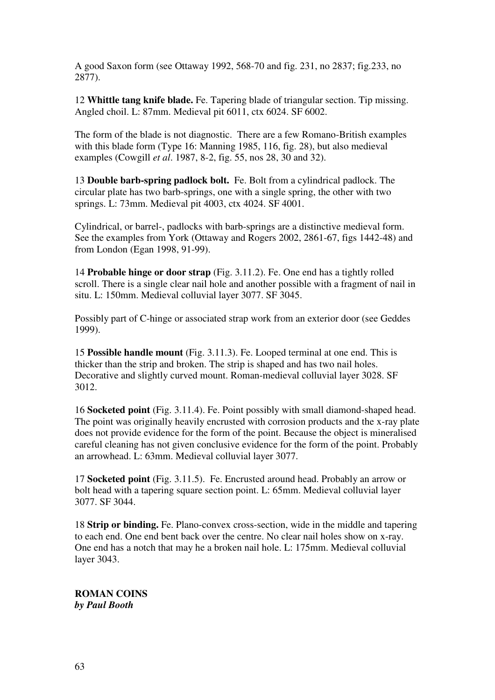A good Saxon form (see Ottaway 1992, 568-70 and fig. 231, no 2837; fig.233, no 2877).

12 **Whittle tang knife blade.** Fe. Tapering blade of triangular section. Tip missing. Angled choil. L: 87mm. Medieval pit 6011, ctx 6024. SF 6002.

The form of the blade is not diagnostic. There are a few Romano-British examples with this blade form (Type 16: Manning 1985, 116, fig. 28), but also medieval examples (Cowgill *et al*. 1987, 8-2, fig. 55, nos 28, 30 and 32).

13 **Double barb-spring padlock bolt.** Fe. Bolt from a cylindrical padlock. The circular plate has two barb-springs, one with a single spring, the other with two springs. L: 73mm. Medieval pit 4003, ctx 4024. SF 4001.

Cylindrical, or barrel-, padlocks with barb-springs are a distinctive medieval form. See the examples from York (Ottaway and Rogers 2002, 2861-67, figs 1442-48) and from London (Egan 1998, 91-99).

14 **Probable hinge or door strap** (Fig. 3.11.2). Fe. One end has a tightly rolled scroll. There is a single clear nail hole and another possible with a fragment of nail in situ. L: 150mm. Medieval colluvial layer 3077. SF 3045.

Possibly part of C-hinge or associated strap work from an exterior door (see Geddes 1999).

15 **Possible handle mount** (Fig. 3.11.3). Fe. Looped terminal at one end. This is thicker than the strip and broken. The strip is shaped and has two nail holes. Decorative and slightly curved mount. Roman-medieval colluvial layer 3028. SF 3012.

16 **Socketed point** (Fig. 3.11.4). Fe. Point possibly with small diamond-shaped head. The point was originally heavily encrusted with corrosion products and the x-ray plate does not provide evidence for the form of the point. Because the object is mineralised careful cleaning has not given conclusive evidence for the form of the point. Probably an arrowhead. L: 63mm. Medieval colluvial layer 3077.

17 **Socketed point** (Fig. 3.11.5).Fe. Encrusted around head. Probably an arrow or bolt head with a tapering square section point. L: 65mm. Medieval colluvial layer 3077. SF 3044.

18 **Strip or binding.** Fe. Plano-convex cross-section, wide in the middle and tapering to each end. One end bent back over the centre. No clear nail holes show on x-ray. One end has a notch that may he a broken nail hole. L: 175mm. Medieval colluvial layer 3043.

**ROMAN COINS**  *by Paul Booth*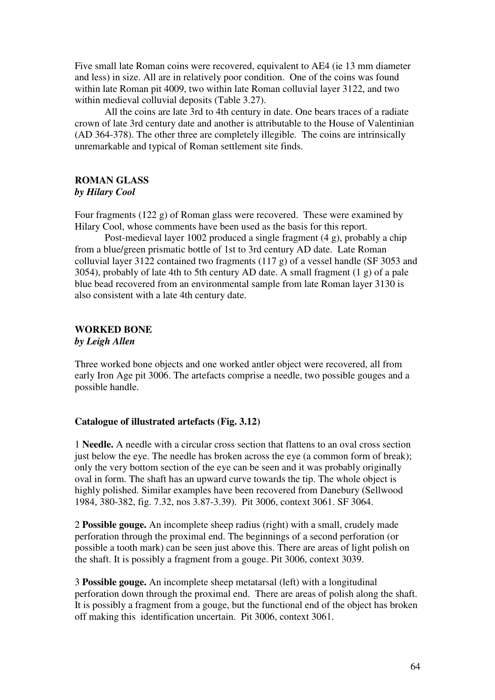Five small late Roman coins were recovered, equivalent to AE4 (ie 13 mm diameter and less) in size. All are in relatively poor condition. One of the coins was found within late Roman pit 4009, two within late Roman colluvial layer 3122, and two within medieval colluvial deposits (Table 3.27).

 All the coins are late 3rd to 4th century in date. One bears traces of a radiate crown of late 3rd century date and another is attributable to the House of Valentinian (AD 364-378). The other three are completely illegible. The coins are intrinsically unremarkable and typical of Roman settlement site finds.

# **ROMAN GLASS**  *by Hilary Cool*

Four fragments (122 g) of Roman glass were recovered. These were examined by Hilary Cool, whose comments have been used as the basis for this report.

 Post-medieval layer 1002 produced a single fragment (4 g), probably a chip from a blue/green prismatic bottle of 1st to 3rd century AD date. Late Roman colluvial layer 3122 contained two fragments (117 g) of a vessel handle (SF 3053 and 3054), probably of late 4th to 5th century AD date. A small fragment (1 g) of a pale blue bead recovered from an environmental sample from late Roman layer 3130 is also consistent with a late 4th century date.

# **WORKED BONE**

*by Leigh Allen* 

Three worked bone objects and one worked antler object were recovered, all from early Iron Age pit 3006. The artefacts comprise a needle, two possible gouges and a possible handle.

# **Catalogue of illustrated artefacts (Fig. 3.12)**

1 **Needle.** A needle with a circular cross section that flattens to an oval cross section just below the eye. The needle has broken across the eye (a common form of break); only the very bottom section of the eye can be seen and it was probably originally oval in form. The shaft has an upward curve towards the tip. The whole object is highly polished. Similar examples have been recovered from Danebury (Sellwood 1984, 380-382, fig. 7.32, nos 3.87-3.39). Pit 3006, context 3061. SF 3064.

2 **Possible gouge.** An incomplete sheep radius (right) with a small, crudely made perforation through the proximal end. The beginnings of a second perforation (or possible a tooth mark) can be seen just above this. There are areas of light polish on the shaft. It is possibly a fragment from a gouge. Pit 3006, context 3039.

3 **Possible gouge.** An incomplete sheep metatarsal (left) with a longitudinal perforation down through the proximal end. There are areas of polish along the shaft. It is possibly a fragment from a gouge, but the functional end of the object has broken off making this identification uncertain. Pit 3006, context 3061.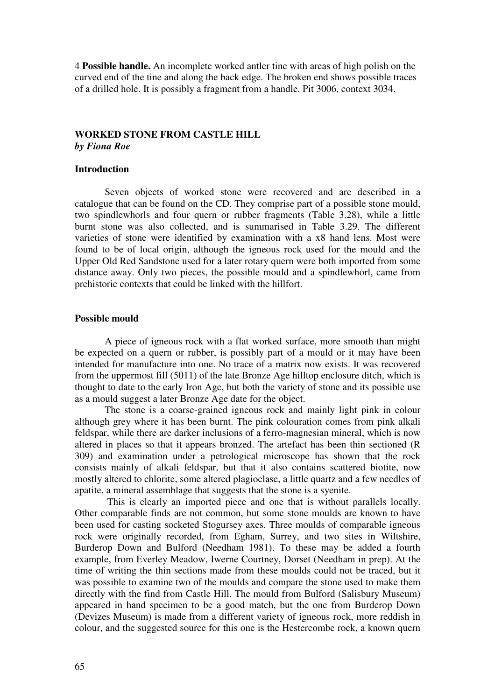4 **Possible handle.** An incomplete worked antler tine with areas of high polish on the curved end of the tine and along the back edge. The broken end shows possible traces of a drilled hole. It is possibly a fragment from a handle. Pit 3006, context 3034.

# **WORKED STONE FROM CASTLE HILL**  *by Fiona Roe*

# **Introduction**

 Seven objects of worked stone were recovered and are described in a catalogue that can be found on the CD. They comprise part of a possible stone mould, two spindlewhorls and four quern or rubber fragments (Table 3.28), while a little burnt stone was also collected, and is summarised in Table 3.29. The different varieties of stone were identified by examination with a x8 hand lens. Most were found to be of local origin, although the igneous rock used for the mould and the Upper Old Red Sandstone used for a later rotary quern were both imported from some distance away. Only two pieces, the possible mould and a spindlewhorl, came from prehistoric contexts that could be linked with the hillfort.

# **Possible mould**

 A piece of igneous rock with a flat worked surface, more smooth than might be expected on a quern or rubber, is possibly part of a mould or it may have been intended for manufacture into one. No trace of a matrix now exists. It was recovered from the uppermost fill (5011) of the late Bronze Age hilltop enclosure ditch, which is thought to date to the early Iron Age, but both the variety of stone and its possible use as a mould suggest a later Bronze Age date for the object.

 The stone is a coarse-grained igneous rock and mainly light pink in colour although grey where it has been burnt. The pink colouration comes from pink alkali feldspar, while there are darker inclusions of a ferro-magnesian mineral, which is now altered in places so that it appears bronzed. The artefact has been thin sectioned (R 309) and examination under a petrological microscope has shown that the rock consists mainly of alkali feldspar, but that it also contains scattered biotite, now mostly altered to chlorite, some altered plagioclase, a little quartz and a few needles of apatite, a mineral assemblage that suggests that the stone is a syenite.

 This is clearly an imported piece and one that is without parallels locally. Other comparable finds are not common, but some stone moulds are known to have been used for casting socketed Stogursey axes. Three moulds of comparable igneous rock were originally recorded, from Egham, Surrey, and two sites in Wiltshire, Burderop Down and Bulford (Needham 1981). To these may be added a fourth example, from Everley Meadow, Iwerne Courtney, Dorset (Needham in prep). At the time of writing the thin sections made from these moulds could not be traced, but it was possible to examine two of the moulds and compare the stone used to make them directly with the find from Castle Hill. The mould from Bulford (Salisbury Museum) appeared in hand specimen to be a good match, but the one from Burderop Down (Devizes Museum) is made from a different variety of igneous rock, more reddish in colour, and the suggested source for this one is the Hestercombe rock, a known quern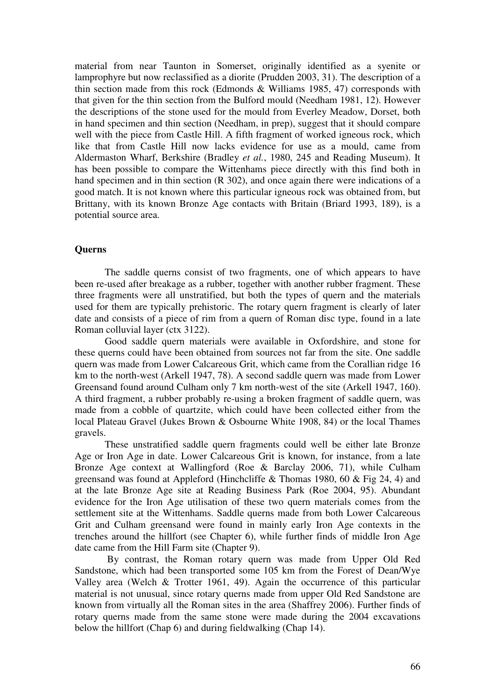material from near Taunton in Somerset, originally identified as a syenite or lamprophyre but now reclassified as a diorite (Prudden 2003, 31). The description of a thin section made from this rock (Edmonds & Williams 1985, 47) corresponds with that given for the thin section from the Bulford mould (Needham 1981, 12). However the descriptions of the stone used for the mould from Everley Meadow, Dorset, both in hand specimen and thin section (Needham, in prep), suggest that it should compare well with the piece from Castle Hill. A fifth fragment of worked igneous rock, which like that from Castle Hill now lacks evidence for use as a mould, came from Aldermaston Wharf, Berkshire (Bradley *et al.*, 1980, 245 and Reading Museum). It has been possible to compare the Wittenhams piece directly with this find both in hand specimen and in thin section (R 302), and once again there were indications of a good match. It is not known where this particular igneous rock was obtained from, but Brittany, with its known Bronze Age contacts with Britain (Briard 1993, 189), is a potential source area.

# **Querns**

 The saddle querns consist of two fragments, one of which appears to have been re-used after breakage as a rubber, together with another rubber fragment. These three fragments were all unstratified, but both the types of quern and the materials used for them are typically prehistoric. The rotary quern fragment is clearly of later date and consists of a piece of rim from a quern of Roman disc type, found in a late Roman colluvial layer (ctx 3122).

 Good saddle quern materials were available in Oxfordshire, and stone for these querns could have been obtained from sources not far from the site. One saddle quern was made from Lower Calcareous Grit, which came from the Corallian ridge 16 km to the north-west (Arkell 1947, 78). A second saddle quern was made from Lower Greensand found around Culham only 7 km north-west of the site (Arkell 1947, 160). A third fragment, a rubber probably re-using a broken fragment of saddle quern, was made from a cobble of quartzite, which could have been collected either from the local Plateau Gravel (Jukes Brown & Osbourne White 1908, 84) or the local Thames gravels.

 These unstratified saddle quern fragments could well be either late Bronze Age or Iron Age in date. Lower Calcareous Grit is known, for instance, from a late Bronze Age context at Wallingford (Roe & Barclay 2006, 71), while Culham greensand was found at Appleford (Hinchcliffe & Thomas 1980, 60 & Fig 24, 4) and at the late Bronze Age site at Reading Business Park (Roe 2004, 95). Abundant evidence for the Iron Age utilisation of these two quern materials comes from the settlement site at the Wittenhams. Saddle querns made from both Lower Calcareous Grit and Culham greensand were found in mainly early Iron Age contexts in the trenches around the hillfort (see Chapter 6), while further finds of middle Iron Age date came from the Hill Farm site (Chapter 9).

 By contrast, the Roman rotary quern was made from Upper Old Red Sandstone, which had been transported some 105 km from the Forest of Dean/Wye Valley area (Welch & Trotter 1961, 49). Again the occurrence of this particular material is not unusual, since rotary querns made from upper Old Red Sandstone are known from virtually all the Roman sites in the area (Shaffrey 2006). Further finds of rotary querns made from the same stone were made during the 2004 excavations below the hillfort (Chap 6) and during fieldwalking (Chap 14).